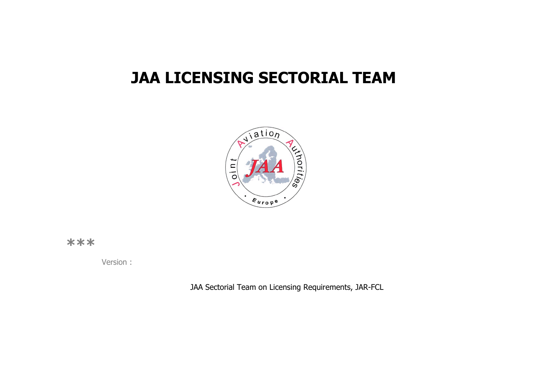# **JAA LICENSING SECTORIAL TEAM**



**\*\*\*** 

Version :

JAA Sectorial Team on Licensing Requirements, JAR-FCL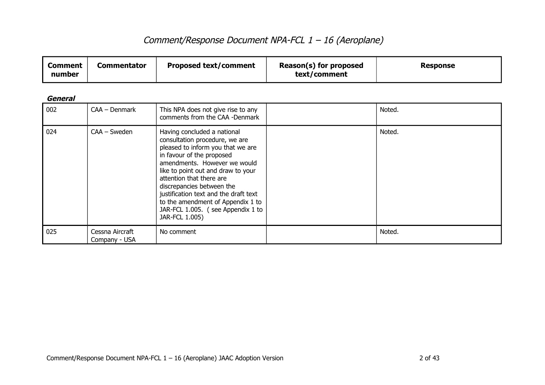| <b>Comment</b><br>number | <b>Commentator</b>               | <b>Proposed text/comment</b>                                                                                                                                                                                                                                                                                                                                                                        | Reason(s) for proposed<br>text/comment | <b>Response</b> |
|--------------------------|----------------------------------|-----------------------------------------------------------------------------------------------------------------------------------------------------------------------------------------------------------------------------------------------------------------------------------------------------------------------------------------------------------------------------------------------------|----------------------------------------|-----------------|
| <b>General</b>           |                                  |                                                                                                                                                                                                                                                                                                                                                                                                     |                                        |                 |
| 002                      | CAA - Denmark                    | This NPA does not give rise to any<br>comments from the CAA -Denmark                                                                                                                                                                                                                                                                                                                                |                                        | Noted.          |
| 024                      | CAA - Sweden                     | Having concluded a national<br>consultation procedure, we are<br>pleased to inform you that we are<br>in favour of the proposed<br>amendments. However we would<br>like to point out and draw to your<br>attention that there are<br>discrepancies between the<br>justification text and the draft text<br>to the amendment of Appendix 1 to<br>JAR-FCL 1.005. (see Appendix 1 to<br>JAR-FCL 1.005) |                                        | Noted.          |
| 025                      | Cessna Aircraft<br>Company - USA | No comment                                                                                                                                                                                                                                                                                                                                                                                          |                                        | Noted.          |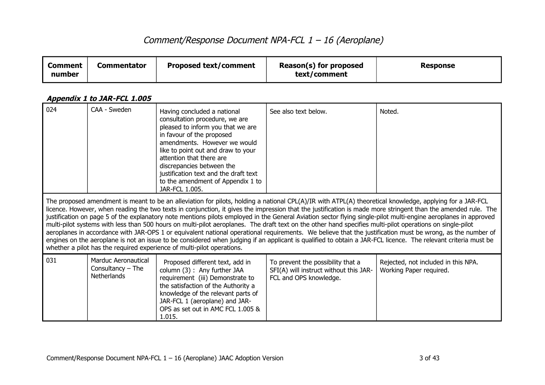| <b>Comment</b><br>number | <b>Commentator</b>                                                                                                                                                                                                                                                                                                                                                                                                                                                                                                                                                                                                                                                                                                                                                                                                                                                                                                                                                                                                                                                  | <b>Proposed text/comment</b>                                                                                                                                                                                                                                                                                                                                   | Reason(s) for proposed<br>text/comment                                                                | <b>Response</b>                                                |  |
|--------------------------|---------------------------------------------------------------------------------------------------------------------------------------------------------------------------------------------------------------------------------------------------------------------------------------------------------------------------------------------------------------------------------------------------------------------------------------------------------------------------------------------------------------------------------------------------------------------------------------------------------------------------------------------------------------------------------------------------------------------------------------------------------------------------------------------------------------------------------------------------------------------------------------------------------------------------------------------------------------------------------------------------------------------------------------------------------------------|----------------------------------------------------------------------------------------------------------------------------------------------------------------------------------------------------------------------------------------------------------------------------------------------------------------------------------------------------------------|-------------------------------------------------------------------------------------------------------|----------------------------------------------------------------|--|
|                          | Appendix 1 to JAR-FCL 1.005                                                                                                                                                                                                                                                                                                                                                                                                                                                                                                                                                                                                                                                                                                                                                                                                                                                                                                                                                                                                                                         |                                                                                                                                                                                                                                                                                                                                                                |                                                                                                       |                                                                |  |
| 024                      | CAA - Sweden                                                                                                                                                                                                                                                                                                                                                                                                                                                                                                                                                                                                                                                                                                                                                                                                                                                                                                                                                                                                                                                        | Having concluded a national<br>consultation procedure, we are<br>pleased to inform you that we are<br>in favour of the proposed<br>amendments. However we would<br>like to point out and draw to your<br>attention that there are<br>discrepancies between the<br>justification text and the draft text<br>to the amendment of Appendix 1 to<br>JAR-FCL 1.005. | See also text below.                                                                                  | Noted.                                                         |  |
|                          | The proposed amendment is meant to be an alleviation for pilots, holding a national CPL(A)/IR with ATPL(A) theoretical knowledge, applying for a JAR-FCL<br>licence. However, when reading the two texts in conjunction, it gives the impression that the justification is made more stringent than the amended rule. The<br>justification on page 5 of the explanatory note mentions pilots employed in the General Aviation sector flying single-pilot multi-engine aeroplanes in approved<br>multi-pilot systems with less than 500 hours on multi-pilot aeroplanes. The draft text on the other hand specifies multi-pilot operations on single-pilot<br>aeroplanes in accordance with JAR-OPS 1 or equivalent national operational requirements. We believe that the justification must be wrong, as the number of<br>engines on the aeroplane is not an issue to be considered when judging if an applicant is qualified to obtain a JAR-FCL licence. The relevant criteria must be<br>whether a pilot has the required experience of multi-pilot operations. |                                                                                                                                                                                                                                                                                                                                                                |                                                                                                       |                                                                |  |
| 031                      | <b>Marduc Aeronautical</b><br>Consultancy $-$ The<br><b>Netherlands</b>                                                                                                                                                                                                                                                                                                                                                                                                                                                                                                                                                                                                                                                                                                                                                                                                                                                                                                                                                                                             | Proposed different text, add in<br>column (3) : Any further JAA<br>requirement (iii) Demonstrate to<br>the satisfaction of the Authority a<br>knowledge of the relevant parts of<br>JAR-FCL 1 (aeroplane) and JAR-<br>OPS as set out in AMC FCL 1.005 &<br>1.015.                                                                                              | To prevent the possibility that a<br>SFI(A) will instruct without this JAR-<br>FCL and OPS knowledge. | Rejected, not included in this NPA.<br>Working Paper required. |  |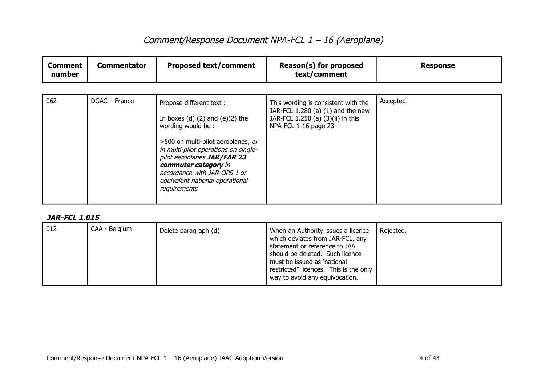| <b>Comment</b><br>number | <b>Commentator</b> | <b>Proposed text/comment</b>                                                                                                                                                                                                                                                                                   | Reason(s) for proposed<br>text/comment                                                                                                | <b>Response</b> |
|--------------------------|--------------------|----------------------------------------------------------------------------------------------------------------------------------------------------------------------------------------------------------------------------------------------------------------------------------------------------------------|---------------------------------------------------------------------------------------------------------------------------------------|-----------------|
| 062                      | DGAC - France      | Propose different text :<br>In boxes $(d)$ $(2)$ and $(e)(2)$ the<br>wording would be:<br>>500 on multi-pilot aeroplanes, or<br>in multi-pilot operations on single-<br>pilot aeroplanes JAR/FAR 23<br>commuter category in<br>accordance with JAR-OPS 1 or<br>equivalent national operational<br>requirements | This wording is consistent with the<br>JAR-FCL 1.280 (a) (1) and the new<br>JAR-FCL 1.250 (a) (3)(ii) in this<br>NPA-FCL 1-16 page 23 | Accepted.       |

| $\vert$ 012 | CAA - Belgium | Delete paragraph (d) | When an Authority issues a licence<br>which deviates from JAR-FCL, any<br>statement or reference to JAA<br>should be deleted. Such licence<br>must be issued as 'national<br>restricted" licences. This is the only<br>way to avoid any equivocation. | Rejected. |
|-------------|---------------|----------------------|-------------------------------------------------------------------------------------------------------------------------------------------------------------------------------------------------------------------------------------------------------|-----------|
|-------------|---------------|----------------------|-------------------------------------------------------------------------------------------------------------------------------------------------------------------------------------------------------------------------------------------------------|-----------|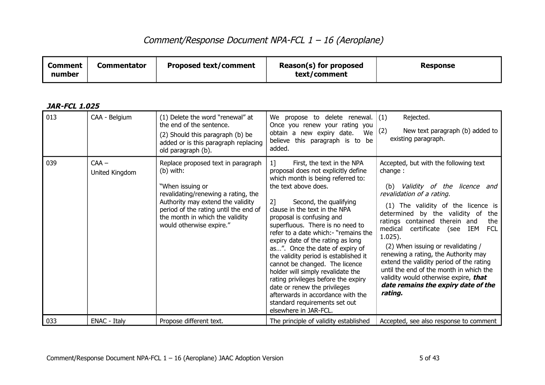| <b>Comment</b><br>number | <b>Commentator</b> | <b>Proposed text/comment</b> | Reason(s) for proposed<br>text/comment | <b>Response</b> |
|--------------------------|--------------------|------------------------------|----------------------------------------|-----------------|
|--------------------------|--------------------|------------------------------|----------------------------------------|-----------------|

| <b>JAR-FCL 1.025</b> |
|----------------------|
|----------------------|

| 013 | CAA - Belgium             | (1) Delete the word "renewal" at<br>the end of the sentence.<br>(2) Should this paragraph (b) be<br>added or is this paragraph replacing<br>old paragraph (b).                                                                                          | We propose to delete renewal.<br>Once you renew your rating you<br>obtain a new expiry date.<br>We<br>believe this paragraph is to be<br>added.                                                                                                                                                                                                                                                                                                                                                                                                                                                                                                                                 | Rejected.<br>(1)<br>New text paragraph (b) added to<br>(2)<br>existing paragraph.                                                                                                                                                                                                                                                                                                                                                                                                                                                                                    |
|-----|---------------------------|---------------------------------------------------------------------------------------------------------------------------------------------------------------------------------------------------------------------------------------------------------|---------------------------------------------------------------------------------------------------------------------------------------------------------------------------------------------------------------------------------------------------------------------------------------------------------------------------------------------------------------------------------------------------------------------------------------------------------------------------------------------------------------------------------------------------------------------------------------------------------------------------------------------------------------------------------|----------------------------------------------------------------------------------------------------------------------------------------------------------------------------------------------------------------------------------------------------------------------------------------------------------------------------------------------------------------------------------------------------------------------------------------------------------------------------------------------------------------------------------------------------------------------|
| 039 | $CAA -$<br>United Kingdom | Replace proposed text in paragraph<br>(b) with:<br>"When issuing or<br>revalidating/renewing a rating, the<br>Authority may extend the validity<br>period of the rating until the end of<br>the month in which the validity<br>would otherwise expire." | $1$ ]<br>First, the text in the NPA<br>proposal does not explicitly define<br>which month is being referred to:<br>the text above does.<br>2]<br>Second, the qualifying<br>clause in the text in the NPA<br>proposal is confusing and<br>superfluous. There is no need to<br>refer to a date which:- "remains the<br>expiry date of the rating as long<br>as". Once the date of expiry of<br>the validity period is established it<br>cannot be changed. The licence<br>holder will simply revalidate the<br>rating privileges before the expiry<br>date or renew the privileges<br>afterwards in accordance with the<br>standard requirements set out<br>elsewhere in JAR-FCL. | Accepted, but with the following text<br>change:<br>Validity of the licence and<br>(b)<br>revalidation of a rating.<br>(1) The validity of the licence is<br>determined by the validity of<br>the<br>ratings contained therein and<br>the<br>medical<br>certificate (see<br>IEM<br>FCL<br>$1.025$ ).<br>(2) When issuing or revalidating /<br>renewing a rating, the Authority may<br>extend the validity period of the rating<br>until the end of the month in which the<br>validity would otherwise expire, that<br>date remains the expiry date of the<br>rating. |
| 033 | ENAC - Italy              | Propose different text.                                                                                                                                                                                                                                 | The principle of validity established                                                                                                                                                                                                                                                                                                                                                                                                                                                                                                                                                                                                                                           | Accepted, see also response to comment                                                                                                                                                                                                                                                                                                                                                                                                                                                                                                                               |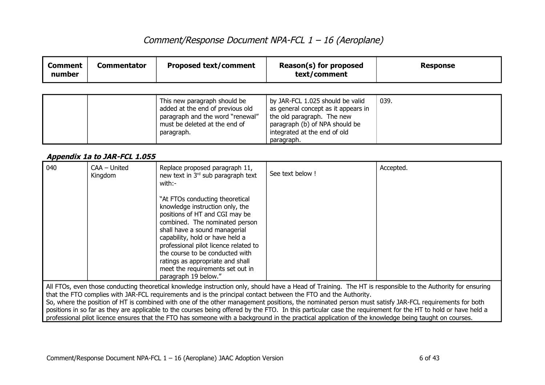| <b>Comment</b><br>number | <b>Commentator</b> | <b>Proposed text/comment</b>                                                                                                                        | Reason(s) for proposed<br>text/comment                                                                                                                                  | <b>Response</b> |
|--------------------------|--------------------|-----------------------------------------------------------------------------------------------------------------------------------------------------|-------------------------------------------------------------------------------------------------------------------------------------------------------------------------|-----------------|
|                          |                    | This new paragraph should be<br>added at the end of previous old<br>paragraph and the word "renewal"<br>must be deleted at the end of<br>paragraph. | by JAR-FCL 1.025 should be valid<br>as general concept as it appears in<br>the old paragraph. The new<br>paragraph (b) of NPA should be<br>integrated at the end of old | 039.            |

### **Appendix 1a to JAR-FCL 1.055**

| 040                                                                                                                                                         | CAA - United<br>Kingdom                                                                                                                                                                                                                                                                                               | Replace proposed paragraph 11,<br>new text in 3rd sub paragraph text<br>with:-                                                                                                                                                                                                                                                                                                         | See text below ! | Accepted. |  |
|-------------------------------------------------------------------------------------------------------------------------------------------------------------|-----------------------------------------------------------------------------------------------------------------------------------------------------------------------------------------------------------------------------------------------------------------------------------------------------------------------|----------------------------------------------------------------------------------------------------------------------------------------------------------------------------------------------------------------------------------------------------------------------------------------------------------------------------------------------------------------------------------------|------------------|-----------|--|
|                                                                                                                                                             |                                                                                                                                                                                                                                                                                                                       | "At FTOs conducting theoretical<br>knowledge instruction only, the<br>positions of HT and CGI may be<br>combined. The nominated person<br>shall have a sound managerial<br>capability, hold or have held a<br>professional pilot licence related to<br>the course to be conducted with<br>ratings as appropriate and shall<br>meet the requirements set out in<br>paragraph 19 below." |                  |           |  |
| All FTOs, even those conducting theoretical knowledge instruction only, should have a Head of Training. The HT is responsible to the Authority for ensuring |                                                                                                                                                                                                                                                                                                                       |                                                                                                                                                                                                                                                                                                                                                                                        |                  |           |  |
| that the FTO complies with JAR-FCL requirements and is the principal contact between the FTO and the Authority.                                             |                                                                                                                                                                                                                                                                                                                       |                                                                                                                                                                                                                                                                                                                                                                                        |                  |           |  |
|                                                                                                                                                             | So, where the position of HT is combined with one of the other management positions, the nominated person must satisfy JAR-FCL requirements for both<br>positions in so far as they are applicable to the courses being offered by the FTO. In this particular case the requirement for the HT to hold or have held a |                                                                                                                                                                                                                                                                                                                                                                                        |                  |           |  |
|                                                                                                                                                             |                                                                                                                                                                                                                                                                                                                       | professional pilot licence ensures that the FTO has someone with a background in the practical application of the knowledge being taught on courses.                                                                                                                                                                                                                                   |                  |           |  |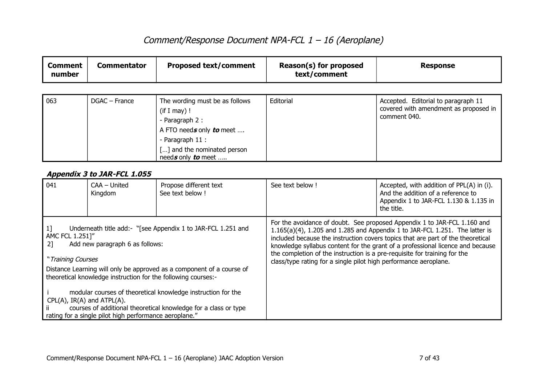| <b>Comment</b><br>number | <b>Commentator</b> | <b>Proposed text/comment</b>                                                                                                                                          | Reason(s) for proposed<br>text/comment | <b>Response</b>                                                                              |
|--------------------------|--------------------|-----------------------------------------------------------------------------------------------------------------------------------------------------------------------|----------------------------------------|----------------------------------------------------------------------------------------------|
|                          |                    |                                                                                                                                                                       |                                        |                                                                                              |
| 063                      | DGAC – France      | The wording must be as follows<br>(if I may)!<br>- Paragraph 2 :<br>A FTO needs only to meet<br>- Paragraph 11 :<br>[] and the nominated person<br>needs only to meet | Editorial                              | Accepted. Editorial to paragraph 11<br>covered with amendment as proposed in<br>comment 040. |

### **Appendix 3 to JAR-FCL 1.055**

| 041 | CAA - United<br>Kingdom                                                                                                                                                                                                                                                                                                                                                                                                                                                                                         | Propose different text<br>See text below ! | See text below !                                                                                                                              | Accepted, with addition of PPL(A) in (i).<br>And the addition of a reference to<br>Appendix 1 to JAR-FCL 1.130 & 1.135 in<br>the title.                                                                                                                                                                                      |
|-----|-----------------------------------------------------------------------------------------------------------------------------------------------------------------------------------------------------------------------------------------------------------------------------------------------------------------------------------------------------------------------------------------------------------------------------------------------------------------------------------------------------------------|--------------------------------------------|-----------------------------------------------------------------------------------------------------------------------------------------------|------------------------------------------------------------------------------------------------------------------------------------------------------------------------------------------------------------------------------------------------------------------------------------------------------------------------------|
| 21  | Underneath title add:- "[see Appendix 1 to JAR-FCL 1.251 and<br>AMC FCL 1.251]"<br>Add new paragraph 6 as follows:<br>"Training Courses<br>Distance Learning will only be approved as a component of a course of<br>theoretical knowledge instruction for the following courses:-<br>modular courses of theoretical knowledge instruction for the<br>$CPL(A)$ , IR(A) and ATPL(A).<br>courses of additional theoretical knowledge for a class or type<br>rating for a single pilot high performance aeroplane." |                                            | the completion of the instruction is a pre-requisite for training for the<br>class/type rating for a single pilot high performance aeroplane. | For the avoidance of doubt. See proposed Appendix 1 to JAR-FCL 1.160 and<br>1.165(a)(4), 1.205 and 1.285 and Appendix 1 to JAR-FCL 1.251. The latter is<br>included because the instruction covers topics that are part of the theoretical<br>knowledge syllabus content for the grant of a professional licence and because |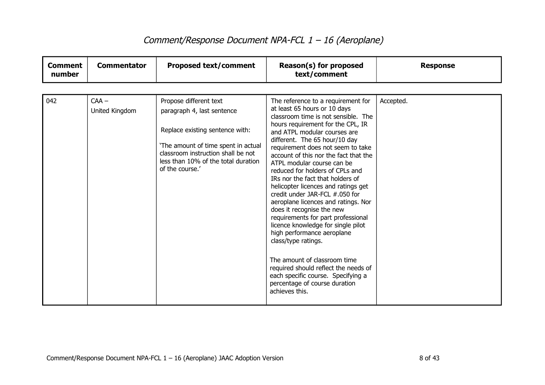| <b>Comment</b><br>number | <b>Commentator</b>        | <b>Proposed text/comment</b>                                                                                                                                                                                                   | Reason(s) for proposed<br>text/comment                                                                                                                                                                                                                                                                                                                                                                                                                                                                                                                                                                                                                                                                                                                                                                                                            | <b>Response</b> |
|--------------------------|---------------------------|--------------------------------------------------------------------------------------------------------------------------------------------------------------------------------------------------------------------------------|---------------------------------------------------------------------------------------------------------------------------------------------------------------------------------------------------------------------------------------------------------------------------------------------------------------------------------------------------------------------------------------------------------------------------------------------------------------------------------------------------------------------------------------------------------------------------------------------------------------------------------------------------------------------------------------------------------------------------------------------------------------------------------------------------------------------------------------------------|-----------------|
|                          |                           |                                                                                                                                                                                                                                |                                                                                                                                                                                                                                                                                                                                                                                                                                                                                                                                                                                                                                                                                                                                                                                                                                                   |                 |
| 042                      | $CAA -$<br>United Kingdom | Propose different text<br>paragraph 4, last sentence<br>Replace existing sentence with:<br>'The amount of time spent in actual<br>classroom instruction shall be not<br>less than 10% of the total duration<br>of the course.' | The reference to a requirement for<br>at least 65 hours or 10 days<br>classroom time is not sensible. The<br>hours requirement for the CPL, IR<br>and ATPL modular courses are<br>different. The 65 hour/10 day<br>requirement does not seem to take<br>account of this nor the fact that the<br>ATPL modular course can be<br>reduced for holders of CPLs and<br>IRs nor the fact that holders of<br>helicopter licences and ratings get<br>credit under JAR-FCL #.050 for<br>aeroplane licences and ratings. Nor<br>does it recognise the new<br>requirements for part professional<br>licence knowledge for single pilot<br>high performance aeroplane<br>class/type ratings.<br>The amount of classroom time<br>required should reflect the needs of<br>each specific course. Specifying a<br>percentage of course duration<br>achieves this. | Accepted.       |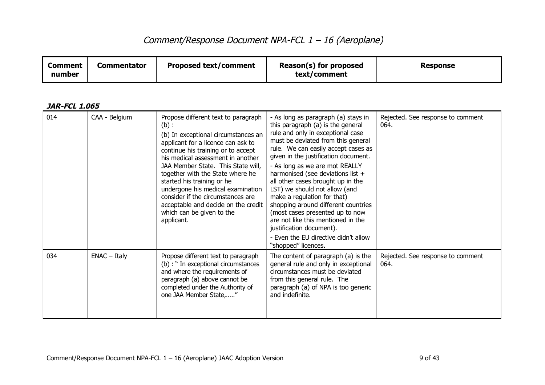| <b>Comment</b><br>number | <b>Commentator</b> | <b>Proposed text/comment</b>                                                                                                                                                                                                                                                                                                                                                                                                                                               | Reason(s) for proposed<br>text/comment                                                                                                                                                                                                                                                                                                                                                                                                                                                                                                                                                                                    | <b>Response</b>                           |
|--------------------------|--------------------|----------------------------------------------------------------------------------------------------------------------------------------------------------------------------------------------------------------------------------------------------------------------------------------------------------------------------------------------------------------------------------------------------------------------------------------------------------------------------|---------------------------------------------------------------------------------------------------------------------------------------------------------------------------------------------------------------------------------------------------------------------------------------------------------------------------------------------------------------------------------------------------------------------------------------------------------------------------------------------------------------------------------------------------------------------------------------------------------------------------|-------------------------------------------|
| <b>JAR-FCL 1.065</b>     |                    |                                                                                                                                                                                                                                                                                                                                                                                                                                                                            |                                                                                                                                                                                                                                                                                                                                                                                                                                                                                                                                                                                                                           |                                           |
| 014                      | CAA - Belgium      | Propose different text to paragraph<br>$(b)$ :<br>(b) In exceptional circumstances an<br>applicant for a licence can ask to<br>continue his training or to accept<br>his medical assessment in another<br>JAA Member State. This State will,<br>together with the State where he<br>started his training or he<br>undergone his medical examination<br>consider if the circumstances are<br>acceptable and decide on the credit<br>which can be given to the<br>applicant. | - As long as paragraph (a) stays in<br>this paragraph (a) is the general<br>rule and only in exceptional case<br>must be deviated from this general<br>rule. We can easily accept cases as<br>given in the justification document.<br>- As long as we are mot REALLY<br>harmonised (see deviations list +<br>all other cases brought up in the<br>LST) we should not allow (and<br>make a regulation for that)<br>shopping around different countries<br>(most cases presented up to now<br>are not like this mentioned in the<br>justification document).<br>- Even the EU directive didn't allow<br>"shopped" licences. | Rejected. See response to comment<br>064. |
| 034                      | $ENAC - Italy$     | Propose different text to paragraph<br>(b) : " In exceptional circumstances<br>and where the requirements of<br>paragraph (a) above cannot be<br>completed under the Authority of<br>one JAA Member State,"                                                                                                                                                                                                                                                                | The content of paragraph (a) is the<br>general rule and only in exceptional<br>circumstances must be deviated<br>from this general rule. The<br>paragraph (a) of NPA is too generic<br>and indefinite.                                                                                                                                                                                                                                                                                                                                                                                                                    | Rejected. See response to comment<br>064. |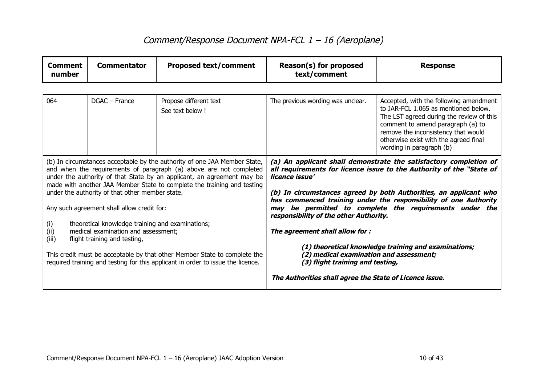| <b>Comment</b><br>number                                                                                                                       | <b>Commentator</b>                                                                                                                                                                                                                                                                                   | <b>Proposed text/comment</b>               | Reason(s) for proposed<br>text/comment                                                                                                                                | <b>Response</b>                                                                                                                                                                                                                                                             |
|------------------------------------------------------------------------------------------------------------------------------------------------|------------------------------------------------------------------------------------------------------------------------------------------------------------------------------------------------------------------------------------------------------------------------------------------------------|--------------------------------------------|-----------------------------------------------------------------------------------------------------------------------------------------------------------------------|-----------------------------------------------------------------------------------------------------------------------------------------------------------------------------------------------------------------------------------------------------------------------------|
|                                                                                                                                                |                                                                                                                                                                                                                                                                                                      |                                            |                                                                                                                                                                       |                                                                                                                                                                                                                                                                             |
| 064                                                                                                                                            | DGAC - France                                                                                                                                                                                                                                                                                        | Propose different text<br>See text below ! | The previous wording was unclear.                                                                                                                                     | Accepted, with the following amendment<br>to JAR-FCL 1.065 as mentioned below.<br>The LST agreed during the review of this<br>comment to amend paragraph (a) to<br>remove the inconsistency that would<br>otherwise exist with the agreed final<br>wording in paragraph (b) |
|                                                                                                                                                | (b) In circumstances acceptable by the authority of one JAA Member State,<br>and when the requirements of paragraph (a) above are not completed<br>under the authority of that State by an applicant, an agreement may be<br>made with another JAA Member State to complete the training and testing |                                            | (a) An applicant shall demonstrate the satisfactory completion of<br>all requirements for licence issue to the Authority of the "State of<br>licence issue'           |                                                                                                                                                                                                                                                                             |
|                                                                                                                                                | under the authority of that other member state.                                                                                                                                                                                                                                                      |                                            | (b) In circumstances agreed by both Authorities, an applicant who                                                                                                     |                                                                                                                                                                                                                                                                             |
|                                                                                                                                                | Any such agreement shall allow credit for:                                                                                                                                                                                                                                                           |                                            | has commenced training under the responsibility of one Authority<br>may be permitted to complete the requirements under the<br>responsibility of the other Authority. |                                                                                                                                                                                                                                                                             |
| theoretical knowledge training and examinations;<br>(i)<br>(i)<br>medical examination and assessment;<br>(iii)<br>flight training and testing, |                                                                                                                                                                                                                                                                                                      | The agreement shall allow for :            |                                                                                                                                                                       |                                                                                                                                                                                                                                                                             |
|                                                                                                                                                | This credit must be acceptable by that other Member State to complete the<br>required training and testing for this applicant in order to issue the licence.                                                                                                                                         |                                            | (2) medical examination and assessment;<br>(3) flight training and testing,                                                                                           | (1) theoretical knowledge training and examinations;                                                                                                                                                                                                                        |
|                                                                                                                                                |                                                                                                                                                                                                                                                                                                      |                                            | The Authorities shall agree the State of Licence issue.                                                                                                               |                                                                                                                                                                                                                                                                             |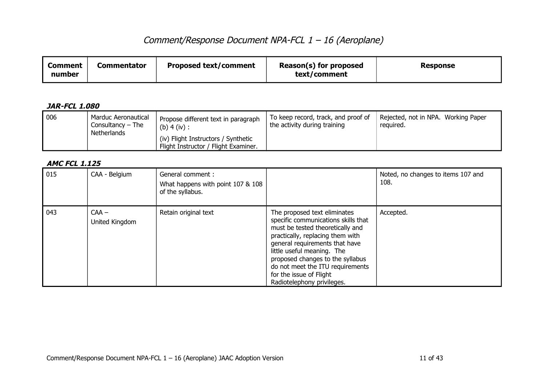| <b>Proposed text/comment</b><br><b>Comment</b><br>Commentator<br>number | Reason(s) for proposed<br>text/comment | <b>Response</b> |
|-------------------------------------------------------------------------|----------------------------------------|-----------------|
|-------------------------------------------------------------------------|----------------------------------------|-----------------|

### **JAR-FCL 1.080**

| $\overline{006}$ | Marduc Aeronautical<br>Consultancy $-$ The<br>Netherlands                   | Propose different text in paragraph<br>(b) $4$ (iv) : | To keep record, track, and proof of<br>the activity during training | Rejected, not in NPA. Working Paper<br>reguired. |
|------------------|-----------------------------------------------------------------------------|-------------------------------------------------------|---------------------------------------------------------------------|--------------------------------------------------|
|                  | (iv) Flight Instructors / Synthetic<br>Flight Instructor / Flight Examiner. |                                                       |                                                                     |                                                  |

### **AMC FCL 1.125**

| 015 | CAA - Belgium             | General comment :<br>What happens with point 107 & 108<br>of the syllabus. |                                                                                                                                                                                                                                                                                                                                              | Noted, no changes to items 107 and<br>108. |
|-----|---------------------------|----------------------------------------------------------------------------|----------------------------------------------------------------------------------------------------------------------------------------------------------------------------------------------------------------------------------------------------------------------------------------------------------------------------------------------|--------------------------------------------|
| 043 | $CAA -$<br>United Kingdom | Retain original text                                                       | The proposed text eliminates<br>specific communications skills that<br>must be tested theoretically and<br>practically, replacing them with<br>general requirements that have<br>little useful meaning. The<br>proposed changes to the syllabus<br>do not meet the ITU requirements<br>for the issue of Flight<br>Radiotelephony privileges. | Accepted.                                  |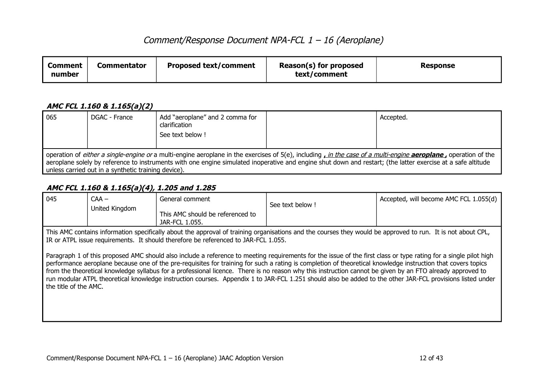| <b>Proposed text/comment</b><br><b>Commentator</b><br>Comment<br>number | Reason(s) for proposed<br>text/comment | Response |
|-------------------------------------------------------------------------|----------------------------------------|----------|
|-------------------------------------------------------------------------|----------------------------------------|----------|

#### **AMC FCL 1.160 & 1.165(a)(2)**

| 065                                                                                                                                                                                                                                                                                                                                                                                   | DGAC - France | Add "aeroplane" and 2 comma for<br>clarification<br>See text below! |  | Accepted. |  |
|---------------------------------------------------------------------------------------------------------------------------------------------------------------------------------------------------------------------------------------------------------------------------------------------------------------------------------------------------------------------------------------|---------------|---------------------------------------------------------------------|--|-----------|--|
| operation of either a single-engine or a multi-engine aeroplane in the exercises of 5(e), including, in the case of a multi-engine aeroplane, operation of the<br>aeroplane solely by reference to instruments with one engine simulated inoperative and engine shut down and restart; (the latter exercise at a safe altitude<br>unless carried out in a synthetic training device). |               |                                                                     |  |           |  |

### **AMC FCL 1.160 & 1.165(a)(4), 1.205 and 1.285**

| 045 | $CAA -$<br>United Kingdom | General comment<br>This AMC should be referenced to<br>JAR-FCL 1.055. | See text below! | Accepted, will become AMC FCL 1.055(d) |
|-----|---------------------------|-----------------------------------------------------------------------|-----------------|----------------------------------------|
|-----|---------------------------|-----------------------------------------------------------------------|-----------------|----------------------------------------|

This AMC contains information specifically about the approval of training organisations and the courses they would be approved to run. It is not about CPL, IR or ATPL issue requirements. It should therefore be referenced to JAR-FCL 1.055.

Paragraph 1 of this proposed AMC should also include a reference to meeting requirements for the issue of the first class or type rating for a single pilot high performance aeroplane because one of the pre-requisites for training for such a rating is completion of theoretical knowledge instruction that covers topics from the theoretical knowledge syllabus for a professional licence. There is no reason why this instruction cannot be given by an FTO already approved to run modular ATPL theoretical knowledge instruction courses. Appendix 1 to JAR-FCL 1.251 should also be added to the other JAR-FCL provisions listed under the title of the AMC.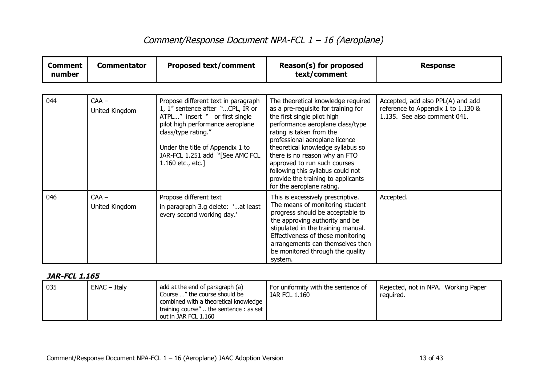| <b>Comment</b><br>number | <b>Commentator</b>        | <b>Proposed text/comment</b>                                                                                                                                                                                                                                        | Reason(s) for proposed<br>text/comment                                                                                                                                                                                                                                                                                                                                                                                   | <b>Response</b>                                                                                         |
|--------------------------|---------------------------|---------------------------------------------------------------------------------------------------------------------------------------------------------------------------------------------------------------------------------------------------------------------|--------------------------------------------------------------------------------------------------------------------------------------------------------------------------------------------------------------------------------------------------------------------------------------------------------------------------------------------------------------------------------------------------------------------------|---------------------------------------------------------------------------------------------------------|
|                          |                           |                                                                                                                                                                                                                                                                     |                                                                                                                                                                                                                                                                                                                                                                                                                          |                                                                                                         |
| 044                      | $CAA -$<br>United Kingdom | Propose different text in paragraph<br>1, $1st$ sentence after "CPL, IR or<br>ATPL" insert " or first single<br>pilot high performance aeroplane<br>class/type rating."<br>Under the title of Appendix 1 to<br>JAR-FCL 1.251 add "[See AMC FCL<br>1.160 etc., etc.] | The theoretical knowledge required<br>as a pre-requisite for training for<br>the first single pilot high<br>performance aeroplane class/type<br>rating is taken from the<br>professional aeroplane licence<br>theoretical knowledge syllabus so<br>there is no reason why an FTO<br>approved to run such courses<br>following this syllabus could not<br>provide the training to applicants<br>for the aeroplane rating. | Accepted, add also PPL(A) and add<br>reference to Appendix 1 to 1.130 &<br>1.135. See also comment 041. |
| 046                      | $CAA -$<br>United Kingdom | Propose different text<br>in paragraph 3.g delete: 'at least<br>every second working day.'                                                                                                                                                                          | This is excessively prescriptive.<br>The means of monitoring student<br>progress should be acceptable to<br>the approving authority and be<br>stipulated in the training manual.<br>Effectiveness of these monitoring<br>arrangements can themselves then<br>be monitored through the quality<br>system.                                                                                                                 | Accepted.                                                                                               |

| $\vert$ 035 | $ENAC - Italy$ | add at the end of paragraph (a)<br>Course " the course should be<br>combined with a theoretical knowledge<br>training course" the sentence : as set $\vert$<br>out in JAR FCL 1.160 | For uniformity with the sentence of<br><b>JAR FCL 1.160</b> | Rejected, not in NPA. Working Paper<br>reguired. |
|-------------|----------------|-------------------------------------------------------------------------------------------------------------------------------------------------------------------------------------|-------------------------------------------------------------|--------------------------------------------------|
|-------------|----------------|-------------------------------------------------------------------------------------------------------------------------------------------------------------------------------------|-------------------------------------------------------------|--------------------------------------------------|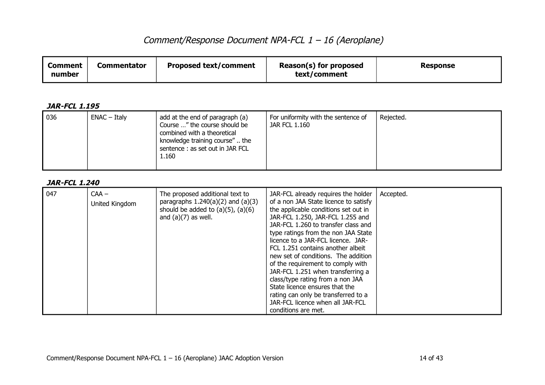| <b>Comment</b><br>number | <b>Commentator</b> | <b>Proposed text/comment</b> | Reason(s) for proposed<br>text/comment | Response |
|--------------------------|--------------------|------------------------------|----------------------------------------|----------|
|--------------------------|--------------------|------------------------------|----------------------------------------|----------|

#### **JAR-FCL 1.195**

|  | 036 | $ENAC - Italy$ | add at the end of paragraph (a)<br>Course " the course should be<br>combined with a theoretical<br>knowledge training course" the<br>sentence : as set out in JAR FCL<br>1.160 | For uniformity with the sentence of<br>JAR FCL 1.160 | Rejected. |
|--|-----|----------------|--------------------------------------------------------------------------------------------------------------------------------------------------------------------------------|------------------------------------------------------|-----------|
|--|-----|----------------|--------------------------------------------------------------------------------------------------------------------------------------------------------------------------------|------------------------------------------------------|-----------|

| 047 | $CAA -$<br>United Kingdom | The proposed additional text to<br>paragraphs $1.240(a)(2)$ and $(a)(3)$<br>should be added to $(a)(5)$ , $(a)(6)$<br>and $(a)(7)$ as well. | JAR-FCL already requires the holder<br>of a non JAA State licence to satisfy<br>the applicable conditions set out in<br>JAR-FCL 1.250, JAR-FCL 1.255 and<br>JAR-FCL 1.260 to transfer class and<br>type ratings from the non JAA State<br>licence to a JAR-FCL licence. JAR-<br>FCL 1.251 contains another albeit<br>new set of conditions. The addition<br>of the requirement to comply with<br>JAR-FCL 1.251 when transferring a<br>class/type rating from a non JAA<br>State licence ensures that the<br>rating can only be transferred to a<br>JAR-FCL licence when all JAR-FCL | Accepted. |
|-----|---------------------------|---------------------------------------------------------------------------------------------------------------------------------------------|-------------------------------------------------------------------------------------------------------------------------------------------------------------------------------------------------------------------------------------------------------------------------------------------------------------------------------------------------------------------------------------------------------------------------------------------------------------------------------------------------------------------------------------------------------------------------------------|-----------|
|     |                           |                                                                                                                                             | conditions are met.                                                                                                                                                                                                                                                                                                                                                                                                                                                                                                                                                                 |           |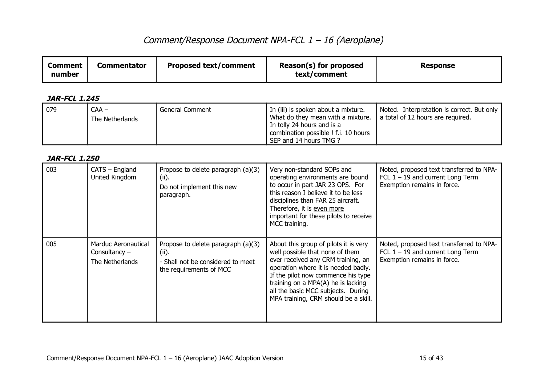| Reason(s) for proposed<br><b>Proposed text/comment</b><br><b>Commentator</b><br><b>Comment</b><br>Response<br>text/comment<br>number |  |
|--------------------------------------------------------------------------------------------------------------------------------------|--|
|--------------------------------------------------------------------------------------------------------------------------------------|--|

### **JAR-FCL 1.245**

| $\sqrt{079}$ | $CAA -$<br>The Netherlands | General Comment | In (iii) is spoken about a mixture.<br>What do they mean with a mixture.<br>In tolly 24 hours and is a<br>combination possible ! f.i. 10 hours | Noted. Interpretation is correct. But only<br>a total of 12 hours are required. |
|--------------|----------------------------|-----------------|------------------------------------------------------------------------------------------------------------------------------------------------|---------------------------------------------------------------------------------|
|              |                            |                 | SEP and 14 hours TMG ?                                                                                                                         |                                                                                 |

| 003 | $CATS - England$<br>United Kingdom                        | Propose to delete paragraph (a)(3)<br>(ii).<br>Do not implement this new<br>paragraph.                      | Very non-standard SOPs and<br>operating environments are bound<br>to occur in part JAR 23 OPS. For<br>this reason I believe it to be less<br>disciplines than FAR 25 aircraft.<br>Therefore, it is even more<br>important for these pilots to receive<br>MCC training.                                          | Noted, proposed text transferred to NPA-<br>FCL $1 - 19$ and current Long Term<br>Exemption remains in force. |
|-----|-----------------------------------------------------------|-------------------------------------------------------------------------------------------------------------|-----------------------------------------------------------------------------------------------------------------------------------------------------------------------------------------------------------------------------------------------------------------------------------------------------------------|---------------------------------------------------------------------------------------------------------------|
| 005 | Marduc Aeronautical<br>Consultancy $-$<br>The Netherlands | Propose to delete paragraph (a)(3)<br>(ii).<br>- Shall not be considered to meet<br>the requirements of MCC | About this group of pilots it is very<br>well possible that none of them<br>ever received any CRM training, an<br>operation where it is needed badly.<br>If the pilot now commence his type<br>training on a MPA(A) he is lacking<br>all the basic MCC subjects. During<br>MPA training, CRM should be a skill. | Noted, proposed text transferred to NPA-<br>FCL $1 - 19$ and current Long Term<br>Exemption remains in force. |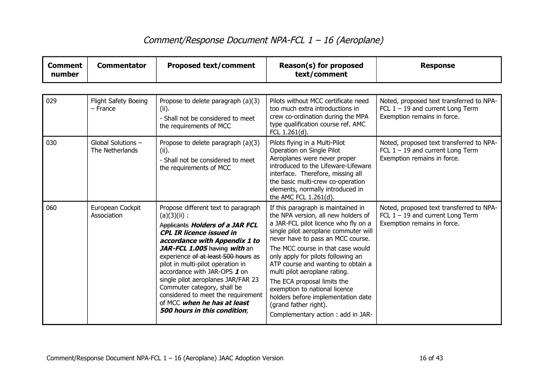| <b>Comment</b><br>number | <b>Commentator</b>                    | <b>Proposed text/comment</b>                                                                                                                                                                                                                                                                                                                                                                                                                                                              | Reason(s) for proposed<br>text/comment                                                                                                                                                                                                                                                                                                                                                                                                                                                                               | <b>Response</b>                                                                                               |
|--------------------------|---------------------------------------|-------------------------------------------------------------------------------------------------------------------------------------------------------------------------------------------------------------------------------------------------------------------------------------------------------------------------------------------------------------------------------------------------------------------------------------------------------------------------------------------|----------------------------------------------------------------------------------------------------------------------------------------------------------------------------------------------------------------------------------------------------------------------------------------------------------------------------------------------------------------------------------------------------------------------------------------------------------------------------------------------------------------------|---------------------------------------------------------------------------------------------------------------|
|                          |                                       |                                                                                                                                                                                                                                                                                                                                                                                                                                                                                           |                                                                                                                                                                                                                                                                                                                                                                                                                                                                                                                      |                                                                                                               |
| 029                      | Flight Safety Boeing<br>$-$ France    | Propose to delete paragraph (a)(3)<br>(ii).<br>- Shall not be considered to meet<br>the requirements of MCC                                                                                                                                                                                                                                                                                                                                                                               | Pilots without MCC certificate need<br>too much extra introductions in<br>crew co-ordination during the MPA<br>type qualification course ref. AMC<br>FCL 1.261(d).                                                                                                                                                                                                                                                                                                                                                   | Noted, proposed text transferred to NPA-<br>FCL $1 - 19$ and current Long Term<br>Exemption remains in force. |
| 030                      | Global Solutions -<br>The Netherlands | Propose to delete paragraph (a)(3)<br>(ii).<br>- Shall not be considered to meet<br>the requirements of MCC                                                                                                                                                                                                                                                                                                                                                                               | Pilots flying in a Multi-Pilot<br>Operation on Single Pilot<br>Aeroplanes were never proper<br>introduced to the Lifeware-Lifeware<br>interface. Therefore, missing all<br>the basic multi-crew co-operation<br>elements, normally introduced in<br>the AMC FCL 1.261(d).                                                                                                                                                                                                                                            | Noted, proposed text transferred to NPA-<br>FCL $1 - 19$ and current Long Term<br>Exemption remains in force. |
| 060                      | European Cockpit<br>Association       | Propose different text to paragraph<br>$(a)(3)(ii)$ :<br>Applicants Holders of a JAR FCL<br><b>CPL IR licence issued in</b><br>accordance with Appendix 1 to<br>JAR-FCL 1.005 having with an<br>experience of at least 500 hours as<br>pilot in multi-pilot operation in<br>accordance with JAR-OPS 1 on<br>single pilot aeroplanes JAR/FAR 23<br>Commuter category, shall be<br>considered to meet the requirement<br>of MCC when he has at least<br><b>500 hours in this condition;</b> | If this paragraph is maintained in<br>the NPA version, all new holders of<br>a JAR-FCL pilot licence who fly on a<br>single pilot aeroplane commuter will<br>never have to pass an MCC course.<br>The MCC course in that case would<br>only apply for pilots following an<br>ATP course and wanting to obtain a<br>multi pilot aeroplane rating.<br>The ECA proposal limits the<br>exemption to national licence<br>holders before implementation date<br>(grand father right).<br>Complementary action: add in JAR- | Noted, proposed text transferred to NPA-<br>FCL $1 - 19$ and current Long Term<br>Exemption remains in force. |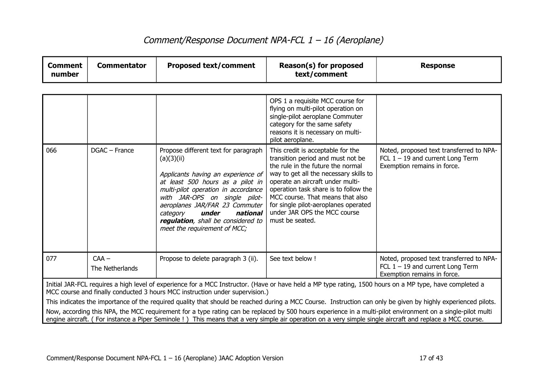| <b>Comment</b><br>number                                                                                                                                                                                                                                                                                                                                                                                                                                                                                                                                                                                                                                                                                                              | <b>Commentator</b>         | <b>Proposed text/comment</b>                                                                                                                                                                                                                                                                                                                  | Reason(s) for proposed<br>text/comment                                                                                                                                                                                                                                                                                                                            | <b>Response</b>                                                                                               |  |
|---------------------------------------------------------------------------------------------------------------------------------------------------------------------------------------------------------------------------------------------------------------------------------------------------------------------------------------------------------------------------------------------------------------------------------------------------------------------------------------------------------------------------------------------------------------------------------------------------------------------------------------------------------------------------------------------------------------------------------------|----------------------------|-----------------------------------------------------------------------------------------------------------------------------------------------------------------------------------------------------------------------------------------------------------------------------------------------------------------------------------------------|-------------------------------------------------------------------------------------------------------------------------------------------------------------------------------------------------------------------------------------------------------------------------------------------------------------------------------------------------------------------|---------------------------------------------------------------------------------------------------------------|--|
|                                                                                                                                                                                                                                                                                                                                                                                                                                                                                                                                                                                                                                                                                                                                       |                            |                                                                                                                                                                                                                                                                                                                                               |                                                                                                                                                                                                                                                                                                                                                                   |                                                                                                               |  |
|                                                                                                                                                                                                                                                                                                                                                                                                                                                                                                                                                                                                                                                                                                                                       |                            |                                                                                                                                                                                                                                                                                                                                               | OPS 1 a requisite MCC course for<br>flying on multi-pilot operation on<br>single-pilot aeroplane Commuter<br>category for the same safety<br>reasons it is necessary on multi-<br>pilot aeroplane.                                                                                                                                                                |                                                                                                               |  |
| 066                                                                                                                                                                                                                                                                                                                                                                                                                                                                                                                                                                                                                                                                                                                                   | DGAC - France              | Propose different text for paragraph<br>(a)(3)(ii)<br>Applicants having an experience of<br>at least 500 hours as a pilot in<br>multi-pilot operation in accordance<br>with JAR-OPS on single pilot-<br>aeroplanes JAR/FAR 23 Commuter<br>under<br>national<br>category<br>regulation, shall be considered to<br>meet the requirement of MCC; | This credit is acceptable for the<br>transition period and must not be<br>the rule in the future the normal<br>way to get all the necessary skills to<br>operate an aircraft under multi-<br>operation task share is to follow the<br>MCC course. That means that also<br>for single pilot-aeroplanes operated<br>under JAR OPS the MCC course<br>must be seated. | Noted, proposed text transferred to NPA-<br>FCL $1 - 19$ and current Long Term<br>Exemption remains in force. |  |
| 077                                                                                                                                                                                                                                                                                                                                                                                                                                                                                                                                                                                                                                                                                                                                   | $CAA -$<br>The Netherlands | Propose to delete paragraph 3 (ii).                                                                                                                                                                                                                                                                                                           | See text below !                                                                                                                                                                                                                                                                                                                                                  | Noted, proposed text transferred to NPA-<br>FCL $1 - 19$ and current Long Term<br>Exemption remains in force. |  |
| Initial JAR-FCL requires a high level of experience for a MCC Instructor. (Have or have held a MP type rating, 1500 hours on a MP type, have completed a<br>MCC course and finally conducted 3 hours MCC instruction under supervision.)<br>This indicates the importance of the required quality that should be reached during a MCC Course. Instruction can only be given by highly experienced pilots.<br>Now, according this NPA, the MCC requirement for a type rating can be replaced by 500 hours experience in a multi-pilot environment on a single-pilot multi<br>engine aircraft. (For instance a Piper Seminole !) This means that a very simple air operation on a very simple single aircraft and replace a MCC course. |                            |                                                                                                                                                                                                                                                                                                                                               |                                                                                                                                                                                                                                                                                                                                                                   |                                                                                                               |  |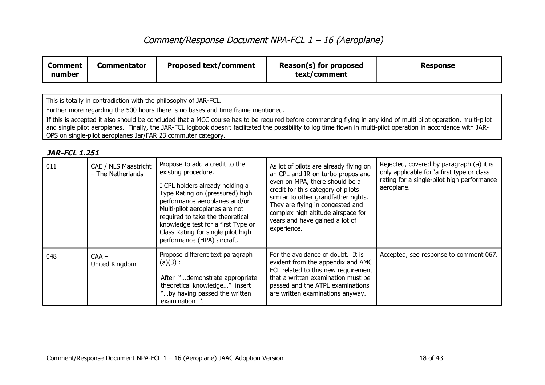| <b>Comment</b><br>number | <b>Commentator</b> | <b>Proposed text/comment</b> | Reason(s) for proposed<br>text/comment | Response |
|--------------------------|--------------------|------------------------------|----------------------------------------|----------|
|--------------------------|--------------------|------------------------------|----------------------------------------|----------|

This is totally in contradiction with the philosophy of JAR-FCL.

Further more regarding the 500 hours there is no bases and time frame mentioned.

If this is accepted it also should be concluded that a MCC course has to be required before commencing flying in any kind of multi pilot operation, multi-pilot and single pilot aeroplanes. Finally, the JAR-FCL logbook doesn't facilitated the possibility to log time flown in multi-pilot operation in accordance with JAR-OPS on single-pilot aeroplanes Jar/FAR 23 commuter category.

| 011 | CAE / NLS Maastricht<br>$-$ The Netherlands | Propose to add a credit to the<br>existing procedure.<br>I CPL holders already holding a<br>Type Rating on (pressured) high<br>performance aeroplanes and/or<br>Multi-pilot aeroplanes are not<br>required to take the theoretical<br>knowledge test for a first Type or<br>Class Rating for single pilot high<br>performance (HPA) aircraft. | As lot of pilots are already flying on<br>an CPL and IR on turbo propos and<br>even on MPA, there should be a<br>credit for this category of pilots<br>similar to other grandfather rights.<br>They are flying in congested and<br>complex high altitude airspace for<br>years and have gained a lot of<br>experience. | Rejected, covered by paragraph (a) it is<br>only applicable for 'a first type or class<br>rating for a single-pilot high performance<br>aeroplane. |
|-----|---------------------------------------------|-----------------------------------------------------------------------------------------------------------------------------------------------------------------------------------------------------------------------------------------------------------------------------------------------------------------------------------------------|------------------------------------------------------------------------------------------------------------------------------------------------------------------------------------------------------------------------------------------------------------------------------------------------------------------------|----------------------------------------------------------------------------------------------------------------------------------------------------|
| 048 | $CAA -$<br>United Kingdom                   | Propose different text paragraph<br>$(a)(3)$ :<br>After "demonstrate appropriate<br>theoretical knowledge" insert<br>"by having passed the written<br>examination'.                                                                                                                                                                           | For the avoidance of doubt. It is<br>evident from the appendix and AMC<br>FCL related to this new requirement<br>that a written examination must be<br>passed and the ATPL examinations<br>are written examinations anyway.                                                                                            | Accepted, see response to comment 067.                                                                                                             |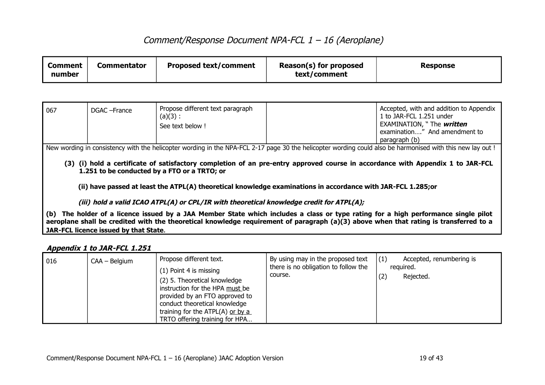| <b>Proposed text/comment</b><br><b>Commentator</b><br><b>Comment</b><br>number | Reason(s) for proposed<br>text/comment | <b>Response</b> |
|--------------------------------------------------------------------------------|----------------------------------------|-----------------|
|--------------------------------------------------------------------------------|----------------------------------------|-----------------|

| $\mid$ 067 | DGAC - France | Propose different text paragraph<br>(a)(3):<br>See text below ! | Accepted, with and addition to Appendix<br>1 to JAR-FCL 1.251 under<br>EXAMINATION, " The written<br>examination" And amendment to<br>paragraph (b) |
|------------|---------------|-----------------------------------------------------------------|-----------------------------------------------------------------------------------------------------------------------------------------------------|
|            |               |                                                                 |                                                                                                                                                     |

New wording in consistency with the helicopter wording in the NPA-FCL 2-17 page 30 the helicopter wording could also be harmonised with this new lay out !

**(3) (i) hold a certificate of satisfactory completion of an pre-entry approved course in accordance with Appendix 1 to JAR-FCL 1.251 to be conducted by a FTO or a TRTO; or**

**(ii) have passed at least the ATPL(A) theoretical knowledge examinations in accordance with JAR-FCL 1.285;or**

**(iii) hold a valid ICAO ATPL(A) or CPL/IR with theoretical knowledge credit for ATPL(A);**

**(b) The holder of a licence issued by a JAA Member State which includes a class or type rating for a high performance single pilot aeroplane shall be credited with the theoretical knowledge requirement of paragraph (a)(3) above when that rating is transferred to a JAR-FCL licence issued by that State**.

#### **Appendix 1 to JAR-FCL 1.251**

| 016 | CAA - Belgium | Propose different text.<br>(1) Point 4 is missing<br>(2) 5. Theoretical knowledge<br>instruction for the HPA must be<br>provided by an FTO approved to<br>conduct theoretical knowledge<br>training for the ATPL $(A)$ or by a<br>TRTO offering training for HPA | By using may in the proposed text<br>there is no obligation to follow the<br>course. | (1)<br>Accepted, renumbering is<br>reguired.<br>Rejected.<br>(2) |
|-----|---------------|------------------------------------------------------------------------------------------------------------------------------------------------------------------------------------------------------------------------------------------------------------------|--------------------------------------------------------------------------------------|------------------------------------------------------------------|
|-----|---------------|------------------------------------------------------------------------------------------------------------------------------------------------------------------------------------------------------------------------------------------------------------------|--------------------------------------------------------------------------------------|------------------------------------------------------------------|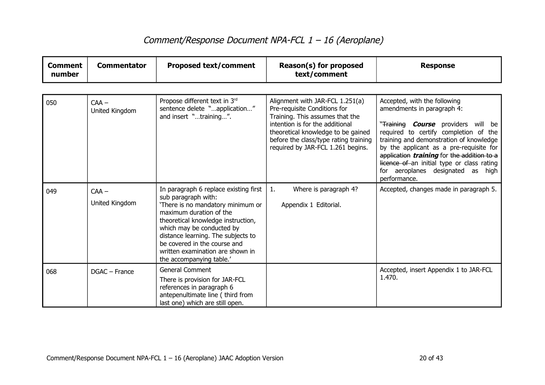| <b>Comment</b><br>number | <b>Commentator</b>        | <b>Proposed text/comment</b>                                                                                                                                                                                                                                                                                                          | Reason(s) for proposed<br>text/comment                                                                                                                                                                                                                    | <b>Response</b>                                                                                                                                                                                                                                                                                                                                                                                |
|--------------------------|---------------------------|---------------------------------------------------------------------------------------------------------------------------------------------------------------------------------------------------------------------------------------------------------------------------------------------------------------------------------------|-----------------------------------------------------------------------------------------------------------------------------------------------------------------------------------------------------------------------------------------------------------|------------------------------------------------------------------------------------------------------------------------------------------------------------------------------------------------------------------------------------------------------------------------------------------------------------------------------------------------------------------------------------------------|
|                          |                           |                                                                                                                                                                                                                                                                                                                                       |                                                                                                                                                                                                                                                           |                                                                                                                                                                                                                                                                                                                                                                                                |
| 050                      | $CAA -$<br>United Kingdom | Propose different text in 3rd<br>sentence delete "application"<br>and insert "training".                                                                                                                                                                                                                                              | Alignment with JAR-FCL 1.251(a)<br>Pre-requisite Conditions for<br>Training. This assumes that the<br>intention is for the additional<br>theoretical knowledge to be gained<br>before the class/type rating training<br>required by JAR-FCL 1.261 begins. | Accepted, with the following<br>amendments in paragraph 4:<br>"Training <i>Course</i> providers will be<br>required to certify completion of the<br>training and demonstration of knowledge<br>by the applicant as a pre-requisite for<br>application <i>training</i> for the addition to a<br>licence of an initial type or class rating<br>for aeroplanes designated as high<br>performance. |
| 049                      | $CAA -$<br>United Kingdom | In paragraph 6 replace existing first<br>sub paragraph with:<br>'There is no mandatory minimum or<br>maximum duration of the<br>theoretical knowledge instruction,<br>which may be conducted by<br>distance learning. The subjects to<br>be covered in the course and<br>written examination are shown in<br>the accompanying table.' | 1.<br>Where is paragraph 4?<br>Appendix 1 Editorial.                                                                                                                                                                                                      | Accepted, changes made in paragraph 5.                                                                                                                                                                                                                                                                                                                                                         |
| 068                      | DGAC - France             | <b>General Comment</b><br>There is provision for JAR-FCL<br>references in paragraph 6<br>antepenultimate line (third from<br>last one) which are still open.                                                                                                                                                                          |                                                                                                                                                                                                                                                           | Accepted, insert Appendix 1 to JAR-FCL<br>1.470.                                                                                                                                                                                                                                                                                                                                               |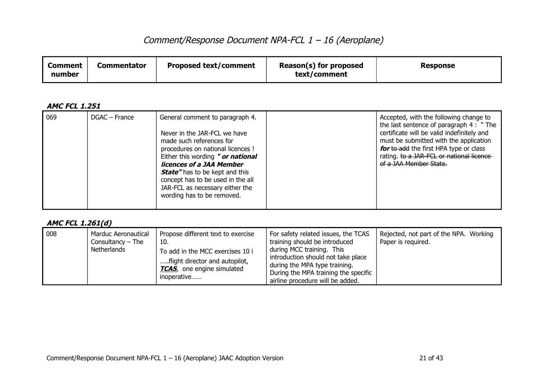| <b>Comment</b><br>number | Commentator | <b>Proposed text/comment</b> | Reason(s) for proposed<br>text/comment | <b>Response</b> |
|--------------------------|-------------|------------------------------|----------------------------------------|-----------------|
|--------------------------|-------------|------------------------------|----------------------------------------|-----------------|

### **AMC FCL 1.251**

| $\log$ | DGAC – France | General comment to paragraph 4.<br>Never in the JAR-FCL we have<br>made such references for<br>procedures on national licences !<br>Either this wording " or national<br>licences of a JAA Member<br><b>State"</b> has to be kept and this<br>concept has to be used in the all<br>JAR-FCL as necessary either the<br>wording has to be removed. |  | Accepted, with the following change to<br>the last sentence of paragraph 4 : "The<br>certificate will be valid indefinitely and<br>must be submitted with the application<br>for to add the first HPA type or class<br>rating. to a JAR-FCL or national licence<br>of a JAA Member State. |
|--------|---------------|--------------------------------------------------------------------------------------------------------------------------------------------------------------------------------------------------------------------------------------------------------------------------------------------------------------------------------------------------|--|-------------------------------------------------------------------------------------------------------------------------------------------------------------------------------------------------------------------------------------------------------------------------------------------|
|--------|---------------|--------------------------------------------------------------------------------------------------------------------------------------------------------------------------------------------------------------------------------------------------------------------------------------------------------------------------------------------------|--|-------------------------------------------------------------------------------------------------------------------------------------------------------------------------------------------------------------------------------------------------------------------------------------------|

### **AMC FCL 1.261(d)**

| 008 | Marduc Aeronautical<br>Consultancy $-$ The<br>Netherlands | Propose different text to exercise<br>10.<br>To add in the MCC exercises 10 i<br>flight director and autopilot,<br><b>TCAS</b> , one engine simulated<br>inoperative | For safety related issues, the TCAS<br>training should be introduced<br>during MCC training. This<br>introduction should not take place<br>during the MPA type training.<br>During the MPA training the specific<br>airline procedure will be added. | Rejected, not part of the NPA. Working<br>Paper is required. |
|-----|-----------------------------------------------------------|----------------------------------------------------------------------------------------------------------------------------------------------------------------------|------------------------------------------------------------------------------------------------------------------------------------------------------------------------------------------------------------------------------------------------------|--------------------------------------------------------------|
|-----|-----------------------------------------------------------|----------------------------------------------------------------------------------------------------------------------------------------------------------------------|------------------------------------------------------------------------------------------------------------------------------------------------------------------------------------------------------------------------------------------------------|--------------------------------------------------------------|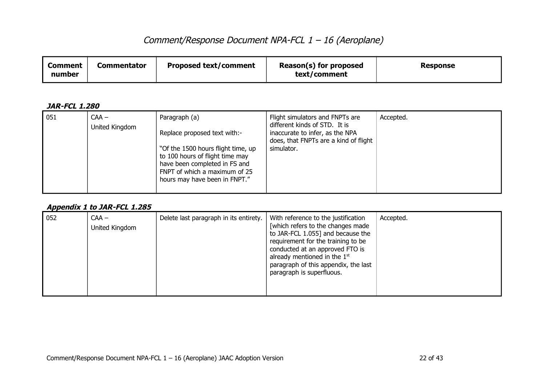| Comment<br>number | Commentator | <b>Proposed text/comment</b> | Reason(s) for proposed<br>text/comment | <b>Response</b> |
|-------------------|-------------|------------------------------|----------------------------------------|-----------------|
|-------------------|-------------|------------------------------|----------------------------------------|-----------------|

#### **JAR-FCL 1.280**

| 051 | $CAA -$<br>United Kingdom | Paragraph (a)<br>Replace proposed text with:-<br>"Of the 1500 hours flight time, up<br>to 100 hours of flight time may<br>have been completed in FS and<br>FNPT of which a maximum of 25<br>hours may have been in FNPT." | Flight simulators and FNPTs are<br>different kinds of STD. It is<br>inaccurate to infer, as the NPA<br>does, that FNPTs are a kind of flight<br>simulator. | Accepted. |
|-----|---------------------------|---------------------------------------------------------------------------------------------------------------------------------------------------------------------------------------------------------------------------|------------------------------------------------------------------------------------------------------------------------------------------------------------|-----------|
|-----|---------------------------|---------------------------------------------------------------------------------------------------------------------------------------------------------------------------------------------------------------------------|------------------------------------------------------------------------------------------------------------------------------------------------------------|-----------|

#### **Appendix 1 to JAR-FCL 1.285**

| 052 | $CAA -$<br>United Kingdom | Delete last paragraph in its entirety. | With reference to the justification<br>[which refers to the changes made<br>to JAR-FCL 1.055] and because the<br>requirement for the training to be<br>conducted at an approved FTO is<br>already mentioned in the $1st$<br>paragraph of this appendix, the last<br>paragraph is superfluous. | Accepted. |
|-----|---------------------------|----------------------------------------|-----------------------------------------------------------------------------------------------------------------------------------------------------------------------------------------------------------------------------------------------------------------------------------------------|-----------|
|-----|---------------------------|----------------------------------------|-----------------------------------------------------------------------------------------------------------------------------------------------------------------------------------------------------------------------------------------------------------------------------------------------|-----------|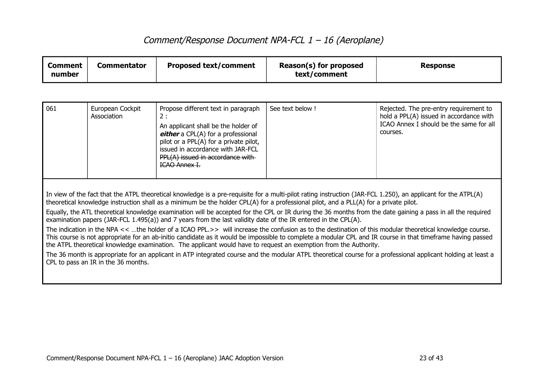| <b>Comment</b><br>number                                                                                                                                                                                                                                                                                                                                                                                                                                                                                                                                                                                                                                                                                                                                                                                                                                                                                                                                                                                                                                                                                                                                                                                                                       | <b>Commentator</b>              | <b>Proposed text/comment</b>                                                                                                                                                                                                                                       | Reason(s) for proposed<br>text/comment | <b>Response</b>                                                                                                                          |
|------------------------------------------------------------------------------------------------------------------------------------------------------------------------------------------------------------------------------------------------------------------------------------------------------------------------------------------------------------------------------------------------------------------------------------------------------------------------------------------------------------------------------------------------------------------------------------------------------------------------------------------------------------------------------------------------------------------------------------------------------------------------------------------------------------------------------------------------------------------------------------------------------------------------------------------------------------------------------------------------------------------------------------------------------------------------------------------------------------------------------------------------------------------------------------------------------------------------------------------------|---------------------------------|--------------------------------------------------------------------------------------------------------------------------------------------------------------------------------------------------------------------------------------------------------------------|----------------------------------------|------------------------------------------------------------------------------------------------------------------------------------------|
|                                                                                                                                                                                                                                                                                                                                                                                                                                                                                                                                                                                                                                                                                                                                                                                                                                                                                                                                                                                                                                                                                                                                                                                                                                                |                                 |                                                                                                                                                                                                                                                                    |                                        |                                                                                                                                          |
| 061                                                                                                                                                                                                                                                                                                                                                                                                                                                                                                                                                                                                                                                                                                                                                                                                                                                                                                                                                                                                                                                                                                                                                                                                                                            | European Cockpit<br>Association | Propose different text in paragraph<br>2:<br>An applicant shall be the holder of<br>either a CPL(A) for a professional<br>pilot or a PPL(A) for a private pilot,<br>issued in accordance with JAR-FCL<br>PPL(A) issued in accordance with-<br><b>ICAO Annex I.</b> | See text below !                       | Rejected. The pre-entry requirement to<br>hold a PPL(A) issued in accordance with<br>ICAO Annex I should be the same for all<br>courses. |
| In view of the fact that the ATPL theoretical knowledge is a pre-requisite for a multi-pilot rating instruction (JAR-FCL 1.250), an applicant for the ATPL(A)<br>theoretical knowledge instruction shall as a minimum be the holder CPL(A) for a professional pilot, and a PLL(A) for a private pilot.<br>Equally, the ATL theoretical knowledge examination will be accepted for the CPL or IR during the 36 months from the date gaining a pass in all the required<br>examination papers (JAR-FCL 1.495(a)) and 7 years from the last validity date of the IR entered in the CPL(A).<br>The indication in the NPA << the holder of a ICAO PPL.>> will increase the confusion as to the destination of this modular theoretical knowledge course.<br>This course is not appropriate for an ab-initio candidate as it would be impossible to complete a modular CPL and IR course in that timeframe having passed<br>the ATPL theoretical knowledge examination. The applicant would have to request an exemption from the Authority.<br>The 36 month is appropriate for an applicant in ATP integrated course and the modular ATPL theoretical course for a professional applicant holding at least a<br>CPL to pass an IR in the 36 months. |                                 |                                                                                                                                                                                                                                                                    |                                        |                                                                                                                                          |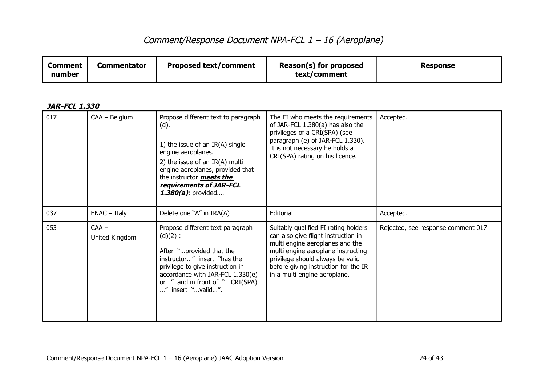| <b>Proposed text/comment</b><br><b>Comment</b><br>Commentator<br>number | Reason(s) for proposed<br>text/comment | <b>Response</b> |
|-------------------------------------------------------------------------|----------------------------------------|-----------------|
|-------------------------------------------------------------------------|----------------------------------------|-----------------|

| 017 | CAA - Belgium             | Propose different text to paragraph<br>(d).<br>1) the issue of an $IR(A)$ single<br>engine aeroplanes.<br>2) the issue of an IR(A) multi<br>engine aeroplanes, provided that<br>the instructor <b>meets the</b><br>requirements of JAR-FCL<br>$1.380(a)$ ; provided | The FI who meets the requirements<br>of JAR-FCL 1.380(a) has also the<br>privileges of a CRI(SPA) (see<br>paragraph (e) of JAR-FCL 1.330).<br>It is not necessary he holds a<br>CRI(SPA) rating on his licence.                                                  | Accepted.                          |
|-----|---------------------------|---------------------------------------------------------------------------------------------------------------------------------------------------------------------------------------------------------------------------------------------------------------------|------------------------------------------------------------------------------------------------------------------------------------------------------------------------------------------------------------------------------------------------------------------|------------------------------------|
| 037 | $ENAC - Italy$            | Delete one "A" in IRA(A)                                                                                                                                                                                                                                            | Editorial                                                                                                                                                                                                                                                        | Accepted.                          |
| 053 | $CAA -$<br>United Kingdom | Propose different text paragraph<br>$(d)(2)$ :<br>After "provided that the<br>instructor" insert "has the<br>privilege to give instruction in<br>accordance with JAR-FCL 1.330(e)<br>or" and in front of " CRI(SPA)<br>" insert "valid".                            | Suitably qualified FI rating holders<br>can also give flight instruction in<br>multi engine aeroplanes and the<br>multi engine aeroplane instructing<br>privilege should always be valid<br>before giving instruction for the IR<br>in a multi engine aeroplane. | Rejected, see response comment 017 |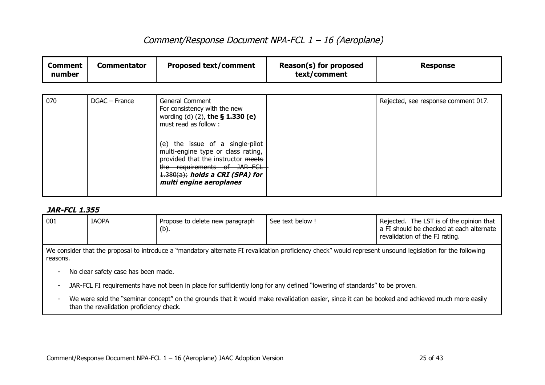| <b>Comment</b><br>number | <b>Commentator</b> | <b>Proposed text/comment</b>                                                                                                                                                                                                                                                                                                      | Reason(s) for proposed<br>text/comment | <b>Response</b>                     |
|--------------------------|--------------------|-----------------------------------------------------------------------------------------------------------------------------------------------------------------------------------------------------------------------------------------------------------------------------------------------------------------------------------|----------------------------------------|-------------------------------------|
|                          |                    |                                                                                                                                                                                                                                                                                                                                   |                                        |                                     |
| 070                      | DGAC - France      | <b>General Comment</b><br>For consistency with the new<br>wording (d) (2), the § 1.330 (e)<br>must read as follow:<br>(e) the issue of a single-pilot<br>multi-engine type or class rating,<br>provided that the instructor meets<br>the requirements of JAR-FCL<br>$1.380(a)$ ; holds a CRI (SPA) for<br>multi engine aeroplanes |                                        | Rejected, see response comment 017. |

| 001                                                                                                                                                                    | <b>IAOPA</b> | Propose to delete new paragraph<br>(b). | See text below ! | Rejected. The LST is of the opinion that<br>a FI should be checked at each alternate<br>revalidation of the FI rating. |  |
|------------------------------------------------------------------------------------------------------------------------------------------------------------------------|--------------|-----------------------------------------|------------------|------------------------------------------------------------------------------------------------------------------------|--|
| We consider that the proposal to introduce a "mandatory alternate FI revalidation proficiency check" would represent unsound legislation for the following<br>reasons. |              |                                         |                  |                                                                                                                        |  |

- No clear safety case has been made.
- JAR-FCL FI requirements have not been in place for sufficiently long for any defined "lowering of standards" to be proven.
- We were sold the "seminar concept" on the grounds that it would make revalidation easier, since it can be booked and achieved much more easily than the revalidation proficiency check.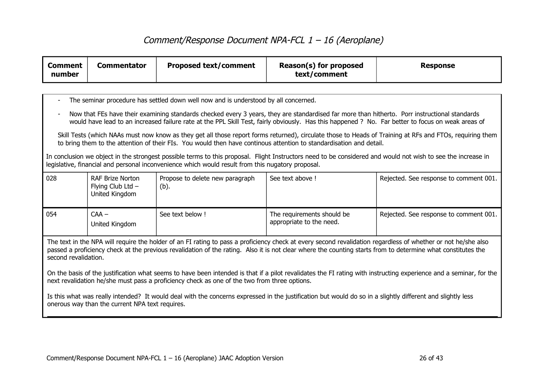| <b>Comment</b><br>number                                                                                                                                                                                                                                                                                                                                                                                                                                                                                                    | <b>Commentator</b>                                             | <b>Proposed text/comment</b>                                                                      | Reason(s) for proposed<br>text/comment                                                                                                                     | <b>Response</b>                                                                                                                                              |
|-----------------------------------------------------------------------------------------------------------------------------------------------------------------------------------------------------------------------------------------------------------------------------------------------------------------------------------------------------------------------------------------------------------------------------------------------------------------------------------------------------------------------------|----------------------------------------------------------------|---------------------------------------------------------------------------------------------------|------------------------------------------------------------------------------------------------------------------------------------------------------------|--------------------------------------------------------------------------------------------------------------------------------------------------------------|
|                                                                                                                                                                                                                                                                                                                                                                                                                                                                                                                             |                                                                |                                                                                                   |                                                                                                                                                            |                                                                                                                                                              |
|                                                                                                                                                                                                                                                                                                                                                                                                                                                                                                                             |                                                                | The seminar procedure has settled down well now and is understood by all concerned.               |                                                                                                                                                            |                                                                                                                                                              |
|                                                                                                                                                                                                                                                                                                                                                                                                                                                                                                                             |                                                                |                                                                                                   | Now that FEs have their examining standards checked every 3 years, they are standardised far more than hitherto. Porr instructional standards              | would have lead to an increased failure rate at the PPL Skill Test, fairly obviously. Has this happened ? No. Far better to focus on weak areas of           |
|                                                                                                                                                                                                                                                                                                                                                                                                                                                                                                                             |                                                                |                                                                                                   | to bring them to the attention of their FIs. You would then have continous attention to standardisation and detail.                                        | Skill Tests (which NAAs must now know as they get all those report forms returned), circulate those to Heads of Training at RFs and FTOs, requiring them     |
|                                                                                                                                                                                                                                                                                                                                                                                                                                                                                                                             |                                                                | legislative, financial and personal inconvenience which would result from this nugatory proposal. |                                                                                                                                                            | In conclusion we object in the strongest possible terms to this proposal. Flight Instructors need to be considered and would not wish to see the increase in |
| 028                                                                                                                                                                                                                                                                                                                                                                                                                                                                                                                         | <b>RAF Brize Norton</b><br>Flying Club Ltd -<br>United Kingdom | Propose to delete new paragraph<br>(b).                                                           | See text above !                                                                                                                                           | Rejected. See response to comment 001.                                                                                                                       |
| 054                                                                                                                                                                                                                                                                                                                                                                                                                                                                                                                         | $CAA -$<br>United Kingdom                                      | See text below !                                                                                  | The requirements should be<br>appropriate to the need.                                                                                                     | Rejected. See response to comment 001.                                                                                                                       |
| The text in the NPA will require the holder of an FI rating to pass a proficiency check at every second revalidation regardless of whether or not he/she also<br>passed a proficiency check at the previous revalidation of the rating. Also it is not clear where the counting starts from to determine what constitutes the<br>second revalidation.<br>On the basis of the justification what seems to have been intended is that if a pilot revalidates the FI rating with instructing experience and a seminar, for the |                                                                |                                                                                                   |                                                                                                                                                            |                                                                                                                                                              |
| next revalidation he/she must pass a proficiency check as one of the two from three options.                                                                                                                                                                                                                                                                                                                                                                                                                                |                                                                |                                                                                                   |                                                                                                                                                            |                                                                                                                                                              |
|                                                                                                                                                                                                                                                                                                                                                                                                                                                                                                                             | onerous way than the current NPA text requires.                |                                                                                                   | Is this what was really intended? It would deal with the concerns expressed in the justification but would do so in a slightly different and slightly less |                                                                                                                                                              |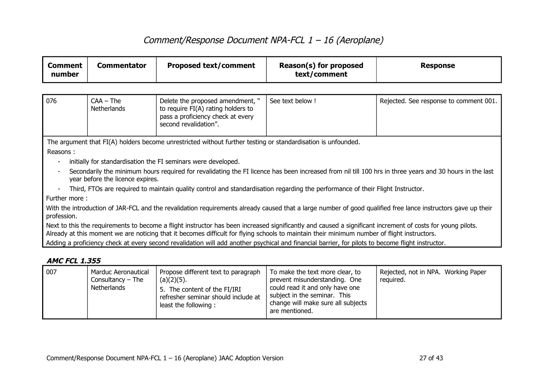| <b>Comment</b><br>number                                                                                                                                                                                                                                                                                  | <b>Commentator</b>                                                                                                                                           | <b>Proposed text/comment</b>                                                                                                         | Reason(s) for proposed<br>text/comment | <b>Response</b>                                                                                                                                         |  |
|-----------------------------------------------------------------------------------------------------------------------------------------------------------------------------------------------------------------------------------------------------------------------------------------------------------|--------------------------------------------------------------------------------------------------------------------------------------------------------------|--------------------------------------------------------------------------------------------------------------------------------------|----------------------------------------|---------------------------------------------------------------------------------------------------------------------------------------------------------|--|
|                                                                                                                                                                                                                                                                                                           |                                                                                                                                                              |                                                                                                                                      |                                        |                                                                                                                                                         |  |
| 076                                                                                                                                                                                                                                                                                                       | $CAA - The$<br><b>Netherlands</b>                                                                                                                            | Delete the proposed amendment, "<br>to require FI(A) rating holders to<br>pass a proficiency check at every<br>second revalidation". | See text below !                       | Rejected. See response to comment 001.                                                                                                                  |  |
| Reasons:                                                                                                                                                                                                                                                                                                  |                                                                                                                                                              | The argument that FI(A) holders become unrestricted without further testing or standardisation is unfounded.                         |                                        |                                                                                                                                                         |  |
|                                                                                                                                                                                                                                                                                                           |                                                                                                                                                              | initially for standardisation the FI seminars were developed.                                                                        |                                        |                                                                                                                                                         |  |
|                                                                                                                                                                                                                                                                                                           | year before the licence expires.                                                                                                                             |                                                                                                                                      |                                        | Secondarily the minimum hours required for revalidating the FI licence has been increased from nil till 100 hrs in three years and 30 hours in the last |  |
|                                                                                                                                                                                                                                                                                                           |                                                                                                                                                              | Third, FTOs are required to maintain quality control and standardisation regarding the performance of their Flight Instructor.       |                                        |                                                                                                                                                         |  |
| Further more:                                                                                                                                                                                                                                                                                             |                                                                                                                                                              |                                                                                                                                      |                                        |                                                                                                                                                         |  |
| profession.                                                                                                                                                                                                                                                                                               | With the introduction of JAR-FCL and the revalidation requirements already caused that a large number of good qualified free lance instructors gave up their |                                                                                                                                      |                                        |                                                                                                                                                         |  |
| Next to this the requirements to become a flight instructor has been increased significantly and caused a significant increment of costs for young pilots.<br>Already at this moment we are noticing that it becomes difficult for flying schools to maintain their minimum number of flight instructors. |                                                                                                                                                              |                                                                                                                                      |                                        |                                                                                                                                                         |  |
|                                                                                                                                                                                                                                                                                                           | Adding a proficiency check at every second revalidation will add another psychical and financial barrier, for pilots to become flight instructor.            |                                                                                                                                      |                                        |                                                                                                                                                         |  |
| <b>AMC FCL 1.355</b>                                                                                                                                                                                                                                                                                      |                                                                                                                                                              |                                                                                                                                      |                                        |                                                                                                                                                         |  |

| 007 | Marduc Aeronautical<br>Consultancy $-$ The<br>Netherlands | Propose different text to paragraph<br>(a)(2)(5).<br>5. The content of the FI/IRI<br>refresher seminar should include at<br>least the following: | To make the text more clear, to<br>prevent misunderstanding. One<br>could read it and only have one<br>subject in the seminar. This<br>change will make sure all subjects<br>are mentioned. | Rejected, not in NPA. Working Paper<br>reauired. |
|-----|-----------------------------------------------------------|--------------------------------------------------------------------------------------------------------------------------------------------------|---------------------------------------------------------------------------------------------------------------------------------------------------------------------------------------------|--------------------------------------------------|
|-----|-----------------------------------------------------------|--------------------------------------------------------------------------------------------------------------------------------------------------|---------------------------------------------------------------------------------------------------------------------------------------------------------------------------------------------|--------------------------------------------------|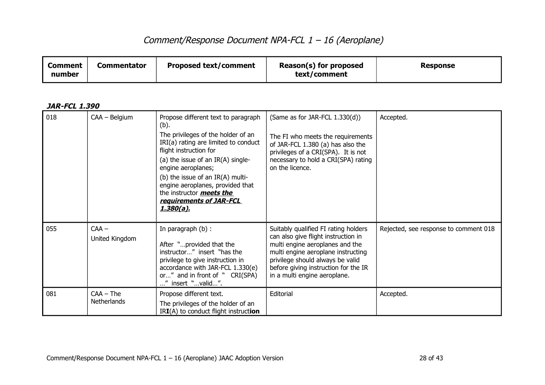| <b>Proposed text/comment</b><br><b>Commentator</b><br>Comment<br>number | Reason(s) for proposed<br>text/comment | <b>Response</b> |
|-------------------------------------------------------------------------|----------------------------------------|-----------------|
|-------------------------------------------------------------------------|----------------------------------------|-----------------|

| 018 | CAA - Belgium              | Propose different text to paragraph<br>(b).<br>The privileges of the holder of an<br>IRI(a) rating are limited to conduct<br>flight instruction for<br>(a) the issue of an $IR(A)$ single-<br>engine aeroplanes;<br>(b) the issue of an IR(A) multi-<br>engine aeroplanes, provided that<br>the instructor <b>meets the</b><br>requirements of JAR-FCL<br>1.380(a). | (Same as for JAR-FCL $1.330(d)$ )<br>The FI who meets the requirements<br>of JAR-FCL 1.380 (a) has also the<br>privileges of a CRI(SPA). It is not<br>necessary to hold a CRI(SPA) rating<br>on the licence.                                                     | Accepted.                             |
|-----|----------------------------|---------------------------------------------------------------------------------------------------------------------------------------------------------------------------------------------------------------------------------------------------------------------------------------------------------------------------------------------------------------------|------------------------------------------------------------------------------------------------------------------------------------------------------------------------------------------------------------------------------------------------------------------|---------------------------------------|
| 055 | $CAA -$<br>United Kingdom  | In paragraph (b) :<br>After "provided that the<br>instructor" insert "has the<br>privilege to give instruction in<br>accordance with JAR-FCL 1.330(e)<br>or" and in front of " CRI(SPA)<br>" insert "valid".                                                                                                                                                        | Suitably qualified FI rating holders<br>can also give flight instruction in<br>multi engine aeroplanes and the<br>multi engine aeroplane instructing<br>privilege should always be valid<br>before giving instruction for the IR<br>in a multi engine aeroplane. | Rejected, see response to comment 018 |
| 081 | $CAA - The$<br>Netherlands | Propose different text.<br>The privileges of the holder of an<br>$IRI(A)$ to conduct flight instruction                                                                                                                                                                                                                                                             | Editorial                                                                                                                                                                                                                                                        | Accepted.                             |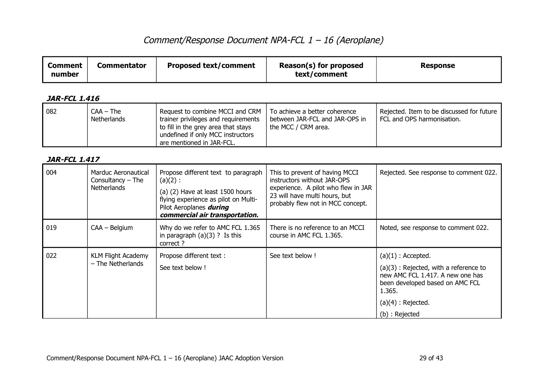| <b>Comment</b><br>number | <b>Commentator</b>                                               | <b>Proposed text/comment</b>                                                                                                                                                               | Reason(s) for proposed<br>text/comment                                                                                                                                     | <b>Response</b>                                                                                                                                                                             |
|--------------------------|------------------------------------------------------------------|--------------------------------------------------------------------------------------------------------------------------------------------------------------------------------------------|----------------------------------------------------------------------------------------------------------------------------------------------------------------------------|---------------------------------------------------------------------------------------------------------------------------------------------------------------------------------------------|
| <b>JAR-FCL 1.416</b>     |                                                                  |                                                                                                                                                                                            |                                                                                                                                                                            |                                                                                                                                                                                             |
| 082                      | $CAA - The$<br><b>Netherlands</b>                                | Request to combine MCCI and CRM<br>trainer privileges and requirements<br>to fill in the grey area that stays<br>undefined if only MCC instructors<br>are mentioned in JAR-FCL.            | To achieve a better coherence<br>between JAR-FCL and JAR-OPS in<br>the MCC / CRM area.                                                                                     | Rejected. Item to be discussed for future<br>FCL and OPS harmonisation.                                                                                                                     |
| <b>JAR-FCL 1.417</b>     |                                                                  |                                                                                                                                                                                            |                                                                                                                                                                            |                                                                                                                                                                                             |
| 004                      | Marduc Aeronautical<br>Consultancy $-$ The<br><b>Netherlands</b> | Propose different text to paragraph<br>$(a)(2)$ :<br>(a) (2) Have at least 1500 hours<br>flying experience as pilot on Multi-<br>Pilot Aeroplanes during<br>commercial air transportation. | This to prevent of having MCCI<br>instructors without JAR-OPS<br>experience. A pilot who flew in JAR<br>23 will have multi hours, but<br>probably flew not in MCC concept. | Rejected. See response to comment 022.                                                                                                                                                      |
| 019                      | CAA - Belgium                                                    | Why do we refer to AMC FCL 1.365<br>in paragraph $(a)(3)$ ? Is this<br>correct?                                                                                                            | There is no reference to an MCCI<br>course in AMC FCL 1.365.                                                                                                               | Noted, see response to comment 022.                                                                                                                                                         |
| 022                      | <b>KLM Flight Academy</b><br>$-$ The Netherlands                 | Propose different text :<br>See text below !                                                                                                                                               | See text below !                                                                                                                                                           | $(a)(1)$ : Accepted.<br>$(a)(3)$ : Rejected, with a reference to<br>new AMC FCL 1.417. A new one has<br>been developed based on AMC FCL<br>1.365.<br>$(a)(4)$ : Rejected.<br>(b) : Rejected |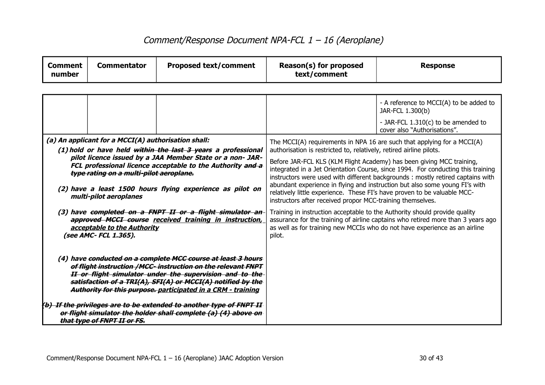| <b>Comment</b><br>number                                                                                                                                                                                                                                                                                                | <b>Commentator</b>                                                                                                                                                               | <b>Proposed text/comment</b>                                                                                                                                                                                                                                                                                                                                                                 | Reason(s) for proposed<br>text/comment                                                                                                                                                                                  | <b>Response</b>                                                                                                                                                |
|-------------------------------------------------------------------------------------------------------------------------------------------------------------------------------------------------------------------------------------------------------------------------------------------------------------------------|----------------------------------------------------------------------------------------------------------------------------------------------------------------------------------|----------------------------------------------------------------------------------------------------------------------------------------------------------------------------------------------------------------------------------------------------------------------------------------------------------------------------------------------------------------------------------------------|-------------------------------------------------------------------------------------------------------------------------------------------------------------------------------------------------------------------------|----------------------------------------------------------------------------------------------------------------------------------------------------------------|
|                                                                                                                                                                                                                                                                                                                         |                                                                                                                                                                                  |                                                                                                                                                                                                                                                                                                                                                                                              |                                                                                                                                                                                                                         |                                                                                                                                                                |
|                                                                                                                                                                                                                                                                                                                         |                                                                                                                                                                                  |                                                                                                                                                                                                                                                                                                                                                                                              |                                                                                                                                                                                                                         | - A reference to MCCI(A) to be added to<br>JAR-FCL 1.300(b)                                                                                                    |
|                                                                                                                                                                                                                                                                                                                         |                                                                                                                                                                                  |                                                                                                                                                                                                                                                                                                                                                                                              |                                                                                                                                                                                                                         | - JAR-FCL 1.310(c) to be amended to<br>cover also "Authorisations".                                                                                            |
|                                                                                                                                                                                                                                                                                                                         | (a) An applicant for a MCCI(A) authorisation shall:<br>(1) hold or have held within the last 3 years a professional<br>pilot licence issued by a JAA Member State or a non- JAR- |                                                                                                                                                                                                                                                                                                                                                                                              | The MCCI(A) requirements in NPA 16 are such that applying for a MCCI(A)<br>authorisation is restricted to, relatively, retired airline pilots.<br>Before JAR-FCL KLS (KLM Flight Academy) has been giving MCC training, |                                                                                                                                                                |
| FCL professional licence acceptable to the Authority and a<br>type rating on a multi-pilot aeroplane.<br>(2) have a least 1500 hours flying experience as pilot on<br>multi-pilot aeroplanes                                                                                                                            |                                                                                                                                                                                  | integrated in a Jet Orientation Course, since 1994. For conducting this training<br>instructors were used with different backgrounds : mostly retired captains with<br>abundant experience in flying and instruction but also some young FI's with<br>relatively little experience. These FI's have proven to be valuable MCC-<br>instructors after received propor MCC-training themselves. |                                                                                                                                                                                                                         |                                                                                                                                                                |
| (3) have completed on a FNPT II or a flight simulator an-<br>approved MCCI course received training in instruction,<br>acceptable to the Authority<br>(see AMC- FCL 1.365).                                                                                                                                             |                                                                                                                                                                                  |                                                                                                                                                                                                                                                                                                                                                                                              | Training in instruction acceptable to the Authority should provide quality<br>pilot.                                                                                                                                    | assurance for the training of airline captains who retired more than 3 years ago<br>as well as for training new MCCIs who do not have experience as an airline |
| (4) have conducted on a complete MCC course at least 3 hours<br>of flight instruction /MCC- instruction on the relevant FNPT<br>II or flight simulator under the supervision and to the-<br>satisfaction of a TRI(A), SFI(A) or MCCI(A) notified by the<br>Authority for this purpose. participated in a CRM - training |                                                                                                                                                                                  |                                                                                                                                                                                                                                                                                                                                                                                              |                                                                                                                                                                                                                         |                                                                                                                                                                |
|                                                                                                                                                                                                                                                                                                                         | that type of FNPT II or FS.                                                                                                                                                      | (b) If the privileges are to be extended to another type of FNPT II<br>or flight simulator the holder shall complete (a) (4) above on                                                                                                                                                                                                                                                        |                                                                                                                                                                                                                         |                                                                                                                                                                |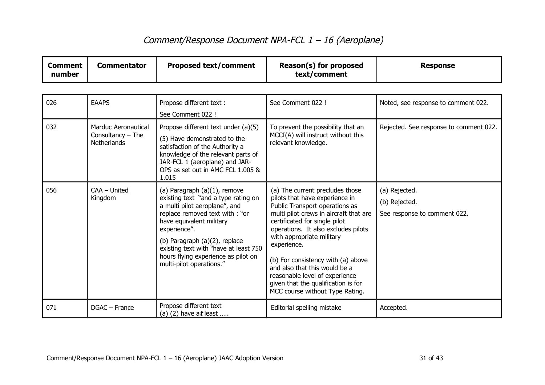| <b>Comment</b><br>number | <b>Commentator</b>                                               | <b>Proposed text/comment</b>                                                                                                                                                                                                                                                                                                    | Reason(s) for proposed<br>text/comment                                                                                                                                                                                                                                                                                                                                                                                                               | <b>Response</b>                                                |
|--------------------------|------------------------------------------------------------------|---------------------------------------------------------------------------------------------------------------------------------------------------------------------------------------------------------------------------------------------------------------------------------------------------------------------------------|------------------------------------------------------------------------------------------------------------------------------------------------------------------------------------------------------------------------------------------------------------------------------------------------------------------------------------------------------------------------------------------------------------------------------------------------------|----------------------------------------------------------------|
|                          |                                                                  |                                                                                                                                                                                                                                                                                                                                 |                                                                                                                                                                                                                                                                                                                                                                                                                                                      |                                                                |
| 026                      | <b>EAAPS</b>                                                     | Propose different text :<br>See Comment 022 !                                                                                                                                                                                                                                                                                   | See Comment 022 !                                                                                                                                                                                                                                                                                                                                                                                                                                    | Noted, see response to comment 022.                            |
| 032                      | <b>Marduc Aeronautical</b><br>Consultancy $-$ The<br>Netherlands | Propose different text under (a)(5)<br>(5) Have demonstrated to the<br>satisfaction of the Authority a<br>knowledge of the relevant parts of<br>JAR-FCL 1 (aeroplane) and JAR-<br>OPS as set out in AMC FCL 1.005 &<br>1.015                                                                                                    | To prevent the possibility that an<br>MCCI(A) will instruct without this<br>relevant knowledge.                                                                                                                                                                                                                                                                                                                                                      | Rejected. See response to comment 022.                         |
| 056                      | CAA - United<br>Kingdom                                          | (a) Paragraph (a)(1), remove<br>existing text "and a type rating on<br>a multi pilot aeroplane", and<br>replace removed text with: "or<br>have equivalent military<br>experience".<br>(b) Paragraph (a)(2), replace<br>existing text with "have at least 750<br>hours flying experience as pilot on<br>multi-pilot operations." | (a) The current precludes those<br>pilots that have experience in<br>Public Transport operations as<br>multi pilot crews in aircraft that are<br>certificated for single pilot<br>operations. It also excludes pilots<br>with appropriate military<br>experience.<br>(b) For consistency with (a) above<br>and also that this would be a<br>reasonable level of experience<br>given that the qualification is for<br>MCC course without Type Rating. | (a) Rejected.<br>(b) Rejected.<br>See response to comment 022. |
| 071                      | DGAC - France                                                    | Propose different text<br>(a) (2) have $at$ least                                                                                                                                                                                                                                                                               | Editorial spelling mistake                                                                                                                                                                                                                                                                                                                                                                                                                           | Accepted.                                                      |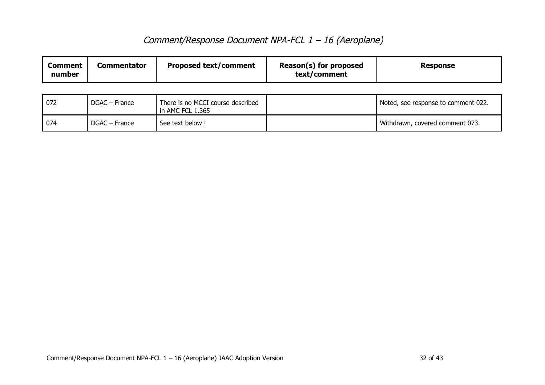| Comment<br>number | Commentator | <b>Proposed text/comment</b> | Reason(s) for proposed<br>text/comment | <b>Response</b> |
|-------------------|-------------|------------------------------|----------------------------------------|-----------------|
|-------------------|-------------|------------------------------|----------------------------------------|-----------------|

| 072 | DGAC – France | There is no MCCI course described<br>in AMC FCL 1.365 | Noted, see response to comment 022. |
|-----|---------------|-------------------------------------------------------|-------------------------------------|
| 074 | DGAC – France | See text below !                                      | Withdrawn, covered comment 073.     |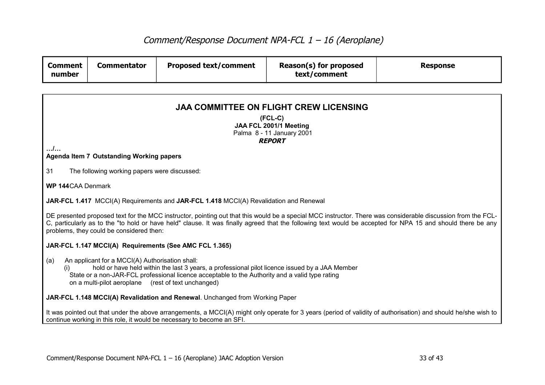| <b>Comment</b><br>number | <b>Commentator</b>                                                                                                                                                                                                                                                                                          | <b>Proposed text/comment</b>                                                          | Reason(s) for proposed<br>text/comment | <b>Response</b>                                                                                                                                                                                                                                                                                                             |  |  |  |
|--------------------------|-------------------------------------------------------------------------------------------------------------------------------------------------------------------------------------------------------------------------------------------------------------------------------------------------------------|---------------------------------------------------------------------------------------|----------------------------------------|-----------------------------------------------------------------------------------------------------------------------------------------------------------------------------------------------------------------------------------------------------------------------------------------------------------------------------|--|--|--|
|                          |                                                                                                                                                                                                                                                                                                             |                                                                                       |                                        |                                                                                                                                                                                                                                                                                                                             |  |  |  |
|                          | <b>JAA COMMITTEE ON FLIGHT CREW LICENSING</b>                                                                                                                                                                                                                                                               |                                                                                       |                                        |                                                                                                                                                                                                                                                                                                                             |  |  |  |
|                          | $(FCL-C)$<br>JAA FCL 2001/1 Meeting<br>Palma 8 - 11 January 2001                                                                                                                                                                                                                                            |                                                                                       |                                        |                                                                                                                                                                                                                                                                                                                             |  |  |  |
| /                        |                                                                                                                                                                                                                                                                                                             |                                                                                       | <b>REPORT</b>                          |                                                                                                                                                                                                                                                                                                                             |  |  |  |
|                          | <b>Agenda Item 7 Outstanding Working papers</b>                                                                                                                                                                                                                                                             |                                                                                       |                                        |                                                                                                                                                                                                                                                                                                                             |  |  |  |
| 31                       | The following working papers were discussed:                                                                                                                                                                                                                                                                |                                                                                       |                                        |                                                                                                                                                                                                                                                                                                                             |  |  |  |
| <b>WP 144CAA Denmark</b> |                                                                                                                                                                                                                                                                                                             |                                                                                       |                                        |                                                                                                                                                                                                                                                                                                                             |  |  |  |
|                          |                                                                                                                                                                                                                                                                                                             | JAR-FCL 1.417 MCCI(A) Requirements and JAR-FCL 1.418 MCCI(A) Revalidation and Renewal |                                        |                                                                                                                                                                                                                                                                                                                             |  |  |  |
|                          | problems, they could be considered then:                                                                                                                                                                                                                                                                    |                                                                                       |                                        | DE presented proposed text for the MCC instructor, pointing out that this would be a special MCC instructor. There was considerable discussion from the FCL-<br>C, particularly as to the "to hold or have held" clause. It was finally agreed that the following text would be accepted for NPA 15 and should there be any |  |  |  |
|                          |                                                                                                                                                                                                                                                                                                             | JAR-FCL 1.147 MCCI(A) Requirements (See AMC FCL 1.365)                                |                                        |                                                                                                                                                                                                                                                                                                                             |  |  |  |
| (a)<br>(i)               | An applicant for a MCCI(A) Authorisation shall:<br>hold or have held within the last 3 years, a professional pilot licence issued by a JAA Member<br>State or a non-JAR-FCL professional licence acceptable to the Authority and a valid type rating<br>on a multi-pilot aeroplane (rest of text unchanged) |                                                                                       |                                        |                                                                                                                                                                                                                                                                                                                             |  |  |  |
|                          | JAR-FCL 1.148 MCCI(A) Revalidation and Renewal. Unchanged from Working Paper                                                                                                                                                                                                                                |                                                                                       |                                        |                                                                                                                                                                                                                                                                                                                             |  |  |  |
|                          |                                                                                                                                                                                                                                                                                                             | continue working in this role, it would be necessary to become an SFI.                |                                        | It was pointed out that under the above arrangements, a MCCI(A) might only operate for 3 years (period of validity of authorisation) and should he/she wish to                                                                                                                                                              |  |  |  |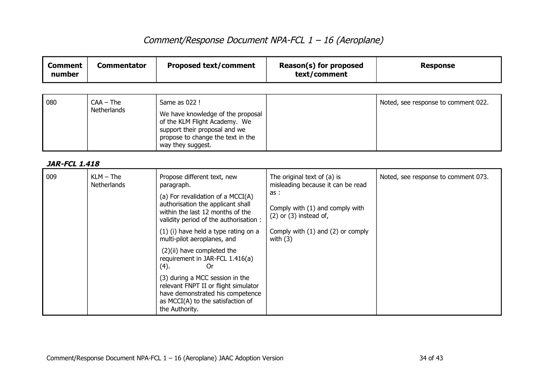| <b>Comment</b><br>number | <b>Commentator</b>                | <b>Proposed text/comment</b>                                                                                                                                                                                                                                                                                                                                                                                                                                                                                                        | Reason(s) for proposed<br>text/comment                                                                                                                                                          | <b>Response</b>                     |
|--------------------------|-----------------------------------|-------------------------------------------------------------------------------------------------------------------------------------------------------------------------------------------------------------------------------------------------------------------------------------------------------------------------------------------------------------------------------------------------------------------------------------------------------------------------------------------------------------------------------------|-------------------------------------------------------------------------------------------------------------------------------------------------------------------------------------------------|-------------------------------------|
|                          |                                   |                                                                                                                                                                                                                                                                                                                                                                                                                                                                                                                                     |                                                                                                                                                                                                 |                                     |
| 080                      | $CAA - The$<br><b>Netherlands</b> | Same as 022 !<br>We have knowledge of the proposal<br>of the KLM Flight Academy. We<br>support their proposal and we<br>propose to change the text in the<br>way they suggest.                                                                                                                                                                                                                                                                                                                                                      |                                                                                                                                                                                                 | Noted, see response to comment 022. |
| <b>JAR-FCL 1.418</b>     |                                   |                                                                                                                                                                                                                                                                                                                                                                                                                                                                                                                                     |                                                                                                                                                                                                 |                                     |
| 009                      | $KLM$ – The<br><b>Netherlands</b> | Propose different text, new<br>paragraph.<br>(a) For revalidation of a MCCI(A)<br>authorisation the applicant shall<br>within the last 12 months of the<br>validity period of the authorisation:<br>(1) (i) have held a type rating on a<br>multi-pilot aeroplanes, and<br>(2)(ii) have completed the<br>requirement in JAR-FCL 1.416(a)<br>(4).<br><b>Or</b><br>(3) during a MCC session in the<br>relevant FNPT II or flight simulator<br>have demonstrated his competence<br>as MCCI(A) to the satisfaction of<br>the Authority. | The original text of (a) is<br>misleading because it can be read<br>as:<br>Comply with (1) and comply with<br>$(2)$ or $(3)$ instead of,<br>Comply with $(1)$ and $(2)$ or comply<br>with $(3)$ | Noted, see response to comment 073. |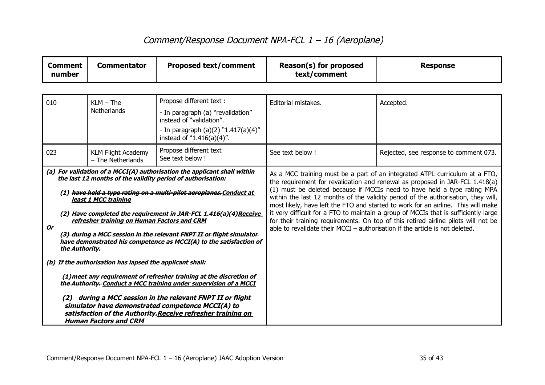| <b>Comment</b><br>number                                                                                                                                                                                                                                                                                                                                                                                                                                                                                                                                                                                                                                                                                                                                                                                                                                                                                                                | <b>Commentator</b>                             | <b>Proposed text/comment</b>                                                              | Reason(s) for proposed<br>text/comment                                                                                                                                                                                                                                                                                                                                                                                                                                                                                                                                                         | <b>Response</b>                        |
|-----------------------------------------------------------------------------------------------------------------------------------------------------------------------------------------------------------------------------------------------------------------------------------------------------------------------------------------------------------------------------------------------------------------------------------------------------------------------------------------------------------------------------------------------------------------------------------------------------------------------------------------------------------------------------------------------------------------------------------------------------------------------------------------------------------------------------------------------------------------------------------------------------------------------------------------|------------------------------------------------|-------------------------------------------------------------------------------------------|------------------------------------------------------------------------------------------------------------------------------------------------------------------------------------------------------------------------------------------------------------------------------------------------------------------------------------------------------------------------------------------------------------------------------------------------------------------------------------------------------------------------------------------------------------------------------------------------|----------------------------------------|
|                                                                                                                                                                                                                                                                                                                                                                                                                                                                                                                                                                                                                                                                                                                                                                                                                                                                                                                                         |                                                |                                                                                           |                                                                                                                                                                                                                                                                                                                                                                                                                                                                                                                                                                                                |                                        |
| 010                                                                                                                                                                                                                                                                                                                                                                                                                                                                                                                                                                                                                                                                                                                                                                                                                                                                                                                                     | $KLM$ – The<br>Netherlands                     | Propose different text :<br>- In paragraph (a) "revalidation"<br>instead of "validation". | Editorial mistakes.                                                                                                                                                                                                                                                                                                                                                                                                                                                                                                                                                                            | Accepted.                              |
|                                                                                                                                                                                                                                                                                                                                                                                                                                                                                                                                                                                                                                                                                                                                                                                                                                                                                                                                         |                                                | - In paragraph (a)(2) "1.417(a)(4)"<br>instead of "1.416(a)(4)".                          |                                                                                                                                                                                                                                                                                                                                                                                                                                                                                                                                                                                                |                                        |
| 023                                                                                                                                                                                                                                                                                                                                                                                                                                                                                                                                                                                                                                                                                                                                                                                                                                                                                                                                     | <b>KLM Flight Academy</b><br>- The Netherlands | Propose different text<br>See text below !                                                | See text below !                                                                                                                                                                                                                                                                                                                                                                                                                                                                                                                                                                               | Rejected, see response to comment 073. |
| (a) For validation of a MCCI(A) authorisation the applicant shall within<br>the last 12 months of the validity period of authorisation:<br>(1) have held a type rating on a multi-pilot aeroplanes. Conduct at<br>least 1 MCC training<br>(2) Have completed the requirement in JAR-FCL 1.416(a)(4) Receive<br>refresher training on Human Factors and CRM<br><b>Or</b><br>(3) during a MCC session in the relevant FNPT II or flight simulator-<br>have demonstrated his competence as MCCI(A) to the satisfaction of-<br>the Authority.<br>(b) If the authorisation has lapsed the applicant shall:<br>(1) meet any requirement of refresher training at the discretion of<br>the Authority. Conduct a MCC training under supervision of a MCCI<br>during a MCC session in the relevant FNPT II or flight<br>(2)<br>simulator have demonstrated competence MCCI(A) to<br>satisfaction of the Authority. Receive refresher training on |                                                | able to revalidate their MCCI $-$ authorisation if the article is not deleted.            | As a MCC training must be a part of an integrated ATPL curriculum at a FTO,<br>the requirement for revalidation and renewal as proposed in JAR-FCL 1.418(a)<br>(1) must be deleted because if MCCIs need to have held a type rating MPA<br>within the last 12 months of the validity period of the authorisation, they will,<br>most likely, have left the FTO and started to work for an airline. This will make<br>it very difficult for a FTO to maintain a group of MCCIs that is sufficiently large<br>for their training requirements. On top of this retired airline pilots will not be |                                        |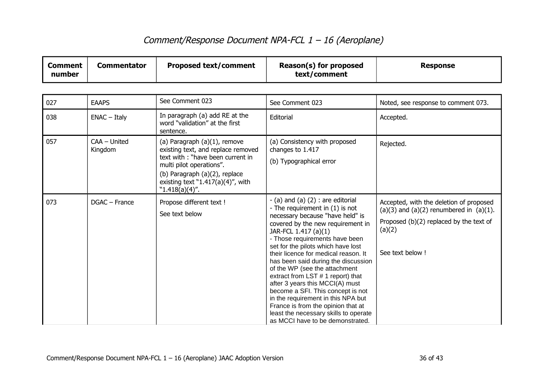| <b>Comment</b><br>number | <b>Commentator</b>      | <b>Proposed text/comment</b>                                                                                                                                                                                                  | Reason(s) for proposed<br>text/comment                                                                                                                                                                                                                                                                                                                                                                                                                                                                                                                                                                                                | <b>Response</b>                                                                                                                                                    |
|--------------------------|-------------------------|-------------------------------------------------------------------------------------------------------------------------------------------------------------------------------------------------------------------------------|---------------------------------------------------------------------------------------------------------------------------------------------------------------------------------------------------------------------------------------------------------------------------------------------------------------------------------------------------------------------------------------------------------------------------------------------------------------------------------------------------------------------------------------------------------------------------------------------------------------------------------------|--------------------------------------------------------------------------------------------------------------------------------------------------------------------|
|                          |                         |                                                                                                                                                                                                                               |                                                                                                                                                                                                                                                                                                                                                                                                                                                                                                                                                                                                                                       |                                                                                                                                                                    |
| 027                      | <b>EAAPS</b>            | See Comment 023                                                                                                                                                                                                               | See Comment 023                                                                                                                                                                                                                                                                                                                                                                                                                                                                                                                                                                                                                       | Noted, see response to comment 073.                                                                                                                                |
| 038                      | $ENAC - Italy$          | In paragraph (a) add RE at the<br>word "validation" at the first<br>sentence.                                                                                                                                                 | Editorial                                                                                                                                                                                                                                                                                                                                                                                                                                                                                                                                                                                                                             | Accepted.                                                                                                                                                          |
| 057                      | CAA - United<br>Kingdom | (a) Paragraph $(a)(1)$ , remove<br>existing text, and replace removed<br>text with: "have been current in<br>multi pilot operations".<br>(b) Paragraph (a)(2), replace<br>existing text "1.417(a)(4)", with<br>"1.418(a)(4)". | (a) Consistency with proposed<br>changes to 1.417<br>(b) Typographical error                                                                                                                                                                                                                                                                                                                                                                                                                                                                                                                                                          | Rejected.                                                                                                                                                          |
| 073                      | DGAC - France           | Propose different text !<br>See text below                                                                                                                                                                                    | $-$ (a) and (a) (2) : are editorial<br>- The requirement in (1) is not<br>necessary because "have held" is<br>covered by the new requirement in<br>JAR-FCL 1.417 (a)(1)<br>- Those requirements have been<br>set for the pilots which have lost<br>their licence for medical reason. It<br>has been said during the discussion<br>of the WP (see the attachment<br>extract from LST # 1 report) that<br>after 3 years this MCCI(A) must<br>become a SFI. This concept is not<br>in the requirement in this NPA but<br>France is from the opinion that at<br>least the necessary skills to operate<br>as MCCI have to be demonstrated. | Accepted, with the deletion of proposed<br>$(a)(3)$ and $(a)(2)$ renumbered in $(a)(1)$ .<br>Proposed (b)(2) replaced by the text of<br>(a)(2)<br>See text below ! |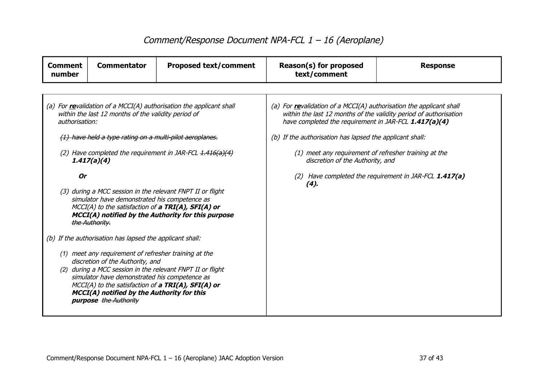| <b>Comment</b><br>number                                                                                                                                                                                                                                                                                                              | <b>Commentator</b>                                       | <b>Proposed text/comment</b>                                        | Reason(s) for proposed<br>text/comment                                                                                                                                                            | <b>Response</b> |  |
|---------------------------------------------------------------------------------------------------------------------------------------------------------------------------------------------------------------------------------------------------------------------------------------------------------------------------------------|----------------------------------------------------------|---------------------------------------------------------------------|---------------------------------------------------------------------------------------------------------------------------------------------------------------------------------------------------|-----------------|--|
|                                                                                                                                                                                                                                                                                                                                       |                                                          |                                                                     |                                                                                                                                                                                                   |                 |  |
| authorisation:                                                                                                                                                                                                                                                                                                                        | within the last 12 months of the validity period of      | (a) For revalidation of a MCCI(A) authorisation the applicant shall | (a) For revalidation of a MCCI(A) authorisation the applicant shall<br>within the last 12 months of the validity period of authorisation<br>have completed the requirement in JAR-FCL 1.417(a)(4) |                 |  |
|                                                                                                                                                                                                                                                                                                                                       | (1) have held a type rating on a multi-pilot aeroplanes. |                                                                     | (b) If the authorisation has lapsed the applicant shall:                                                                                                                                          |                 |  |
|                                                                                                                                                                                                                                                                                                                                       | 1.417(a)(4)                                              | (2) Have completed the requirement in JAR-FCL $1.416(a)(4)$         | (1) meet any requirement of refresher training at the<br>discretion of the Authority, and                                                                                                         |                 |  |
| <b>Or</b>                                                                                                                                                                                                                                                                                                                             |                                                          |                                                                     | (2) Have completed the requirement in JAR-FCL 1.417(a)<br>(4).                                                                                                                                    |                 |  |
| (3) during a MCC session in the relevant FNPT II or flight<br>simulator have demonstrated his competence as<br>MCCI(A) to the satisfaction of a TRI(A), SFI(A) or<br>MCCI(A) notified by the Authority for this purpose<br>the Authority.                                                                                             |                                                          |                                                                     |                                                                                                                                                                                                   |                 |  |
|                                                                                                                                                                                                                                                                                                                                       | (b) If the authorisation has lapsed the applicant shall: |                                                                     |                                                                                                                                                                                                   |                 |  |
| (1) meet any requirement of refresher training at the<br>discretion of the Authority, and<br>(2) during a MCC session in the relevant FNPT II or flight<br>simulator have demonstrated his competence as<br>MCCI(A) to the satisfaction of a TRI(A), SFI(A) or<br>MCCI(A) notified by the Authority for this<br>purpose the Authority |                                                          |                                                                     |                                                                                                                                                                                                   |                 |  |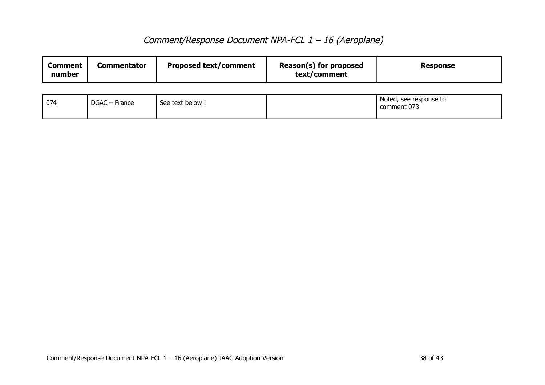| Reason(s) for proposed<br><b>Proposed text/comment</b><br><b>Commentator</b><br><b>Comment</b><br><b>Response</b><br>text/comment<br>number |
|---------------------------------------------------------------------------------------------------------------------------------------------|
|---------------------------------------------------------------------------------------------------------------------------------------------|

| 074 | $\overline{\phantom{0}}$<br><b>DGAC</b><br>C – France | See text below ! | Noted, see response to<br>comment 073 |
|-----|-------------------------------------------------------|------------------|---------------------------------------|
|     |                                                       |                  |                                       |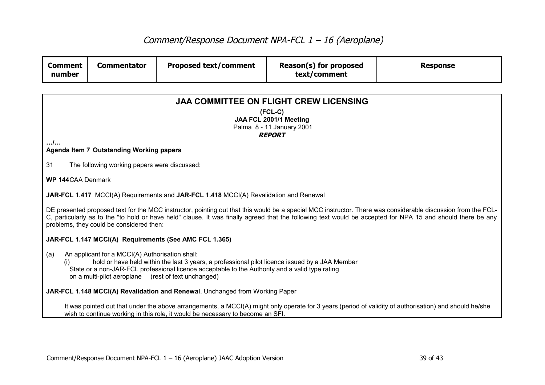| <b>Comment</b><br>number | <b>Commentator</b>                                                                                                                                                                                                                                                                                                                                                      | <b>Proposed text/comment</b>                                                          | Reason(s) for proposed<br>text/comment | <b>Response</b>                                                                                                                                        |  |  |  |
|--------------------------|-------------------------------------------------------------------------------------------------------------------------------------------------------------------------------------------------------------------------------------------------------------------------------------------------------------------------------------------------------------------------|---------------------------------------------------------------------------------------|----------------------------------------|--------------------------------------------------------------------------------------------------------------------------------------------------------|--|--|--|
|                          |                                                                                                                                                                                                                                                                                                                                                                         |                                                                                       |                                        |                                                                                                                                                        |  |  |  |
|                          | <b>JAA COMMITTEE ON FLIGHT CREW LICENSING</b>                                                                                                                                                                                                                                                                                                                           |                                                                                       |                                        |                                                                                                                                                        |  |  |  |
|                          | $(FCL-C)$<br>JAA FCL 2001/1 Meeting                                                                                                                                                                                                                                                                                                                                     |                                                                                       |                                        |                                                                                                                                                        |  |  |  |
|                          | Palma 8 - 11 January 2001                                                                                                                                                                                                                                                                                                                                               |                                                                                       |                                        |                                                                                                                                                        |  |  |  |
| /                        | <b>REPORT</b>                                                                                                                                                                                                                                                                                                                                                           |                                                                                       |                                        |                                                                                                                                                        |  |  |  |
|                          | Agenda Item 7 Outstanding Working papers                                                                                                                                                                                                                                                                                                                                |                                                                                       |                                        |                                                                                                                                                        |  |  |  |
| 31                       | The following working papers were discussed:                                                                                                                                                                                                                                                                                                                            |                                                                                       |                                        |                                                                                                                                                        |  |  |  |
| <b>WP 144CAA Denmark</b> |                                                                                                                                                                                                                                                                                                                                                                         |                                                                                       |                                        |                                                                                                                                                        |  |  |  |
|                          |                                                                                                                                                                                                                                                                                                                                                                         | JAR-FCL 1.417 MCCI(A) Requirements and JAR-FCL 1.418 MCCI(A) Revalidation and Renewal |                                        |                                                                                                                                                        |  |  |  |
|                          | DE presented proposed text for the MCC instructor, pointing out that this would be a special MCC instructor. There was considerable discussion from the FCL-<br>C, particularly as to the "to hold or have held" clause. It was finally agreed that the following text would be accepted for NPA 15 and should there be any<br>problems, they could be considered then: |                                                                                       |                                        |                                                                                                                                                        |  |  |  |
|                          |                                                                                                                                                                                                                                                                                                                                                                         | JAR-FCL 1.147 MCCI(A) Requirements (See AMC FCL 1.365)                                |                                        |                                                                                                                                                        |  |  |  |
| (a)<br>(i)               | An applicant for a MCCI(A) Authorisation shall:<br>hold or have held within the last 3 years, a professional pilot licence issued by a JAA Member<br>State or a non-JAR-FCL professional licence acceptable to the Authority and a valid type rating<br>on a multi-pilot aeroplane (rest of text unchanged)                                                             |                                                                                       |                                        |                                                                                                                                                        |  |  |  |
|                          |                                                                                                                                                                                                                                                                                                                                                                         | JAR-FCL 1.148 MCCI(A) Revalidation and Renewal. Unchanged from Working Paper          |                                        |                                                                                                                                                        |  |  |  |
|                          |                                                                                                                                                                                                                                                                                                                                                                         | wish to continue working in this role, it would be necessary to become an SFI.        |                                        | It was pointed out that under the above arrangements, a MCCI(A) might only operate for 3 years (period of validity of authorisation) and should he/she |  |  |  |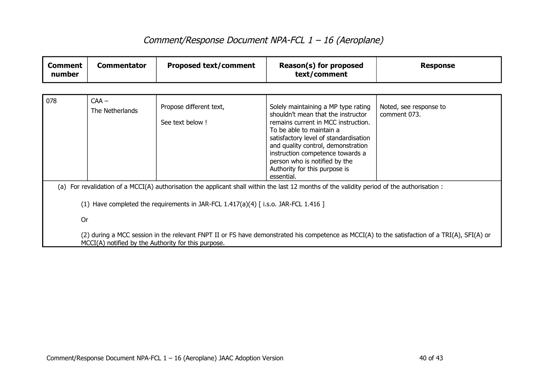| <b>Comment</b><br>number | <b>Commentator</b>                                                                                                                                                                                   | <b>Proposed text/comment</b>                                                      | Reason(s) for proposed<br>text/comment                                                                                                                                                                                                                                                                                                          | <b>Response</b>                        |  |  |
|--------------------------|------------------------------------------------------------------------------------------------------------------------------------------------------------------------------------------------------|-----------------------------------------------------------------------------------|-------------------------------------------------------------------------------------------------------------------------------------------------------------------------------------------------------------------------------------------------------------------------------------------------------------------------------------------------|----------------------------------------|--|--|
|                          |                                                                                                                                                                                                      |                                                                                   |                                                                                                                                                                                                                                                                                                                                                 |                                        |  |  |
| 078                      | $CAA -$<br>The Netherlands                                                                                                                                                                           | Propose different text,<br>See text below !                                       | Solely maintaining a MP type rating<br>shouldn't mean that the instructor<br>remains current in MCC instruction.<br>To be able to maintain a<br>satisfactory level of standardisation<br>and quality control, demonstration<br>instruction competence towards a<br>person who is notified by the<br>Authority for this purpose is<br>essential. | Noted, see response to<br>comment 073. |  |  |
|                          |                                                                                                                                                                                                      |                                                                                   | (a) For revalidation of a MCCI(A) authorisation the applicant shall within the last 12 months of the validity period of the authorisation :                                                                                                                                                                                                     |                                        |  |  |
|                          |                                                                                                                                                                                                      | (1) Have completed the requirements in JAR-FCL 1.417(a)(4) [i.s.o. JAR-FCL 1.416] |                                                                                                                                                                                                                                                                                                                                                 |                                        |  |  |
| <b>Or</b>                |                                                                                                                                                                                                      |                                                                                   |                                                                                                                                                                                                                                                                                                                                                 |                                        |  |  |
|                          | (2) during a MCC session in the relevant FNPT II or FS have demonstrated his competence as MCCI(A) to the satisfaction of a TRI(A), SFI(A) or<br>MCCI(A) notified by the Authority for this purpose. |                                                                                   |                                                                                                                                                                                                                                                                                                                                                 |                                        |  |  |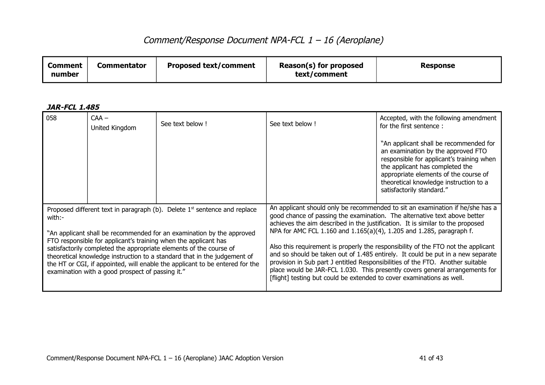| 058                                                                                                                                                                                                                                                                                                                                                                                                                                                                                                                     | $CAA -$<br>United Kingdom | See text below!                                                                                                                               | See text below!                                                                                                                                                                                                                                                                                                                                                                                                                                                                                                                                                                        | Accepted, with the following amendment<br>for the first sentence:                                                                                                                                                                                                            |
|-------------------------------------------------------------------------------------------------------------------------------------------------------------------------------------------------------------------------------------------------------------------------------------------------------------------------------------------------------------------------------------------------------------------------------------------------------------------------------------------------------------------------|---------------------------|-----------------------------------------------------------------------------------------------------------------------------------------------|----------------------------------------------------------------------------------------------------------------------------------------------------------------------------------------------------------------------------------------------------------------------------------------------------------------------------------------------------------------------------------------------------------------------------------------------------------------------------------------------------------------------------------------------------------------------------------------|------------------------------------------------------------------------------------------------------------------------------------------------------------------------------------------------------------------------------------------------------------------------------|
|                                                                                                                                                                                                                                                                                                                                                                                                                                                                                                                         |                           |                                                                                                                                               |                                                                                                                                                                                                                                                                                                                                                                                                                                                                                                                                                                                        | "An applicant shall be recommended for<br>an examination by the approved FTO<br>responsible for applicant's training when<br>the applicant has completed the<br>appropriate elements of the course of<br>theoretical knowledge instruction to a<br>satisfactorily standard." |
| Proposed different text in paragraph (b). Delete $1st$ sentence and replace<br>with:-<br>"An applicant shall be recommended for an examination by the approved<br>FTO responsible for applicant's training when the applicant has<br>satisfactorily completed the appropriate elements of the course of<br>theoretical knowledge instruction to a standard that in the judgement of<br>the HT or CGI, if appointed, will enable the applicant to be entered for the<br>examination with a good prospect of passing it." |                           | NPA for AMC FCL 1.160 and 1.165(a)(4), 1.205 and 1.285, paragraph f.<br>[flight] testing but could be extended to cover examinations as well. | An applicant should only be recommended to sit an examination if he/she has a<br>good chance of passing the examination. The alternative text above better<br>achieves the aim described in the justification. It is similar to the proposed<br>Also this requirement is properly the responsibility of the FTO not the applicant<br>and so should be taken out of 1.485 entirely. It could be put in a new separate<br>provision in Sub part J entitled Responsibilities of the FTO. Another suitable<br>place would be JAR-FCL 1.030. This presently covers general arrangements for |                                                                                                                                                                                                                                                                              |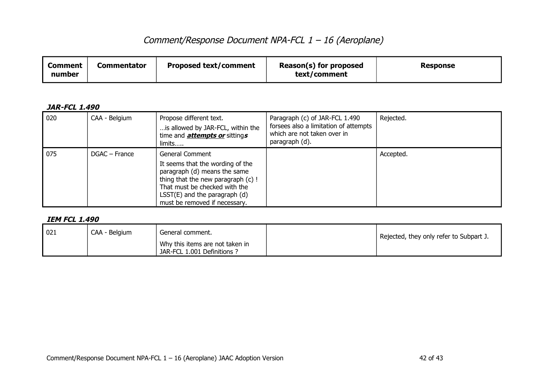| <b>Proposed text/comment</b><br>Commentator<br>Comment<br>number | Reason(s) for proposed<br>text/comment | <b>Response</b> |
|------------------------------------------------------------------|----------------------------------------|-----------------|
|------------------------------------------------------------------|----------------------------------------|-----------------|

#### **JAR-FCL 1.490**

| 020 | CAA - Belgium | Propose different text.<br>is allowed by JAR-FCL, within the<br>time and <b>attempts or</b> sittings<br>limits                                                                                                                   | Paragraph (c) of JAR-FCL 1.490<br>forsees also a limitation of attempts<br>which are not taken over in<br>paragraph (d). | Rejected. |
|-----|---------------|----------------------------------------------------------------------------------------------------------------------------------------------------------------------------------------------------------------------------------|--------------------------------------------------------------------------------------------------------------------------|-----------|
| 075 | DGAC – France | General Comment<br>It seems that the wording of the<br>paragraph (d) means the same<br>thing that the new paragraph (c) !<br>That must be checked with the<br>$LSST(E)$ and the paragraph $(d)$<br>must be removed if necessary. |                                                                                                                          | Accepted. |

### **IEM FCL 1.490**

| 021 | CAA - Belgium | General comment.                                               | ' Rejected, they only refer to Subpart J. |
|-----|---------------|----------------------------------------------------------------|-------------------------------------------|
|     |               | Why this items are not taken in<br>JAR-FCL 1.001 Definitions ? |                                           |